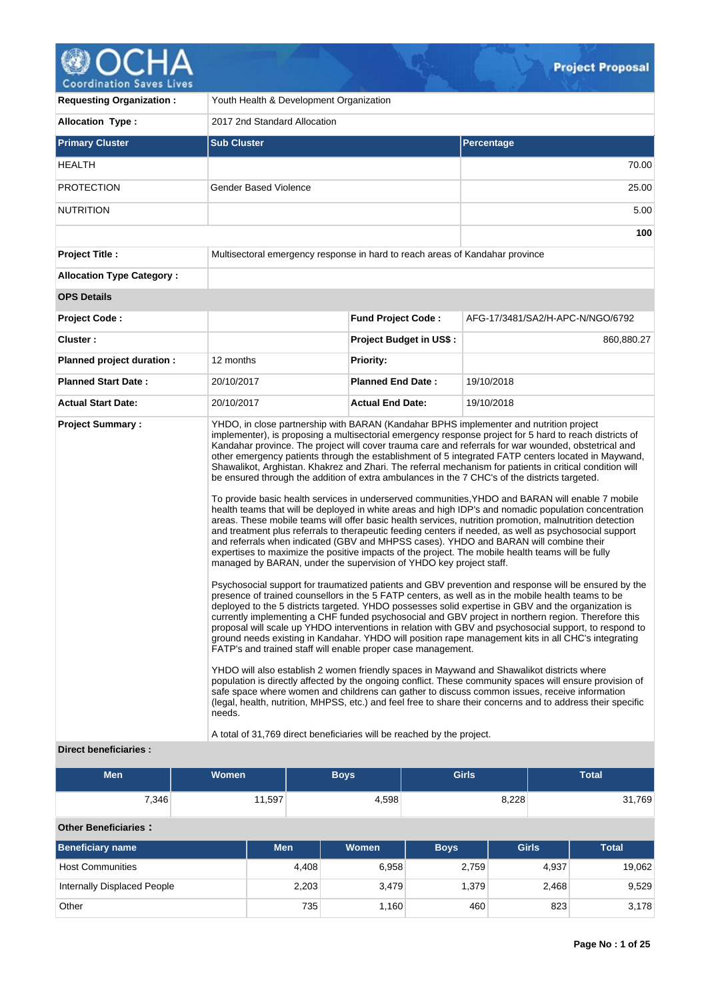

| <b>Requesting Organization:</b>                   | Youth Health & Development Organization                                                                                                                                                                                                                                                                                 |                                |                                                                                                                                                                                                                                                                                                                                                                                                                                                                                                                                                                                                                                                                                                                                                                                                                                                                                                                                                                                                                                                                                                                                                                                                                                                                                                                                                                                                                                                                                                                                                                                                                                                                                                                                                                                                                                                                                                                                                                                                                                                                                                                                                                                                                                     |  |
|---------------------------------------------------|-------------------------------------------------------------------------------------------------------------------------------------------------------------------------------------------------------------------------------------------------------------------------------------------------------------------------|--------------------------------|-------------------------------------------------------------------------------------------------------------------------------------------------------------------------------------------------------------------------------------------------------------------------------------------------------------------------------------------------------------------------------------------------------------------------------------------------------------------------------------------------------------------------------------------------------------------------------------------------------------------------------------------------------------------------------------------------------------------------------------------------------------------------------------------------------------------------------------------------------------------------------------------------------------------------------------------------------------------------------------------------------------------------------------------------------------------------------------------------------------------------------------------------------------------------------------------------------------------------------------------------------------------------------------------------------------------------------------------------------------------------------------------------------------------------------------------------------------------------------------------------------------------------------------------------------------------------------------------------------------------------------------------------------------------------------------------------------------------------------------------------------------------------------------------------------------------------------------------------------------------------------------------------------------------------------------------------------------------------------------------------------------------------------------------------------------------------------------------------------------------------------------------------------------------------------------------------------------------------------------|--|
| <b>Allocation Type:</b>                           | 2017 2nd Standard Allocation                                                                                                                                                                                                                                                                                            |                                |                                                                                                                                                                                                                                                                                                                                                                                                                                                                                                                                                                                                                                                                                                                                                                                                                                                                                                                                                                                                                                                                                                                                                                                                                                                                                                                                                                                                                                                                                                                                                                                                                                                                                                                                                                                                                                                                                                                                                                                                                                                                                                                                                                                                                                     |  |
| <b>Primary Cluster</b>                            | <b>Sub Cluster</b>                                                                                                                                                                                                                                                                                                      |                                | Percentage                                                                                                                                                                                                                                                                                                                                                                                                                                                                                                                                                                                                                                                                                                                                                                                                                                                                                                                                                                                                                                                                                                                                                                                                                                                                                                                                                                                                                                                                                                                                                                                                                                                                                                                                                                                                                                                                                                                                                                                                                                                                                                                                                                                                                          |  |
| <b>HEALTH</b>                                     |                                                                                                                                                                                                                                                                                                                         |                                | 70.00                                                                                                                                                                                                                                                                                                                                                                                                                                                                                                                                                                                                                                                                                                                                                                                                                                                                                                                                                                                                                                                                                                                                                                                                                                                                                                                                                                                                                                                                                                                                                                                                                                                                                                                                                                                                                                                                                                                                                                                                                                                                                                                                                                                                                               |  |
| <b>PROTECTION</b>                                 | <b>Gender Based Violence</b>                                                                                                                                                                                                                                                                                            |                                | 25.00                                                                                                                                                                                                                                                                                                                                                                                                                                                                                                                                                                                                                                                                                                                                                                                                                                                                                                                                                                                                                                                                                                                                                                                                                                                                                                                                                                                                                                                                                                                                                                                                                                                                                                                                                                                                                                                                                                                                                                                                                                                                                                                                                                                                                               |  |
| <b>NUTRITION</b>                                  |                                                                                                                                                                                                                                                                                                                         |                                | 5.00                                                                                                                                                                                                                                                                                                                                                                                                                                                                                                                                                                                                                                                                                                                                                                                                                                                                                                                                                                                                                                                                                                                                                                                                                                                                                                                                                                                                                                                                                                                                                                                                                                                                                                                                                                                                                                                                                                                                                                                                                                                                                                                                                                                                                                |  |
|                                                   |                                                                                                                                                                                                                                                                                                                         |                                | 100                                                                                                                                                                                                                                                                                                                                                                                                                                                                                                                                                                                                                                                                                                                                                                                                                                                                                                                                                                                                                                                                                                                                                                                                                                                                                                                                                                                                                                                                                                                                                                                                                                                                                                                                                                                                                                                                                                                                                                                                                                                                                                                                                                                                                                 |  |
| <b>Project Title:</b>                             | Multisectoral emergency response in hard to reach areas of Kandahar province                                                                                                                                                                                                                                            |                                |                                                                                                                                                                                                                                                                                                                                                                                                                                                                                                                                                                                                                                                                                                                                                                                                                                                                                                                                                                                                                                                                                                                                                                                                                                                                                                                                                                                                                                                                                                                                                                                                                                                                                                                                                                                                                                                                                                                                                                                                                                                                                                                                                                                                                                     |  |
| <b>Allocation Type Category:</b>                  |                                                                                                                                                                                                                                                                                                                         |                                |                                                                                                                                                                                                                                                                                                                                                                                                                                                                                                                                                                                                                                                                                                                                                                                                                                                                                                                                                                                                                                                                                                                                                                                                                                                                                                                                                                                                                                                                                                                                                                                                                                                                                                                                                                                                                                                                                                                                                                                                                                                                                                                                                                                                                                     |  |
| <b>OPS Details</b>                                |                                                                                                                                                                                                                                                                                                                         |                                |                                                                                                                                                                                                                                                                                                                                                                                                                                                                                                                                                                                                                                                                                                                                                                                                                                                                                                                                                                                                                                                                                                                                                                                                                                                                                                                                                                                                                                                                                                                                                                                                                                                                                                                                                                                                                                                                                                                                                                                                                                                                                                                                                                                                                                     |  |
| <b>Project Code:</b>                              |                                                                                                                                                                                                                                                                                                                         | <b>Fund Project Code:</b>      | AFG-17/3481/SA2/H-APC-N/NGO/6792                                                                                                                                                                                                                                                                                                                                                                                                                                                                                                                                                                                                                                                                                                                                                                                                                                                                                                                                                                                                                                                                                                                                                                                                                                                                                                                                                                                                                                                                                                                                                                                                                                                                                                                                                                                                                                                                                                                                                                                                                                                                                                                                                                                                    |  |
| Cluster:                                          |                                                                                                                                                                                                                                                                                                                         | <b>Project Budget in US\$:</b> | 860,880.27                                                                                                                                                                                                                                                                                                                                                                                                                                                                                                                                                                                                                                                                                                                                                                                                                                                                                                                                                                                                                                                                                                                                                                                                                                                                                                                                                                                                                                                                                                                                                                                                                                                                                                                                                                                                                                                                                                                                                                                                                                                                                                                                                                                                                          |  |
| Planned project duration :                        | 12 months                                                                                                                                                                                                                                                                                                               | <b>Priority:</b>               |                                                                                                                                                                                                                                                                                                                                                                                                                                                                                                                                                                                                                                                                                                                                                                                                                                                                                                                                                                                                                                                                                                                                                                                                                                                                                                                                                                                                                                                                                                                                                                                                                                                                                                                                                                                                                                                                                                                                                                                                                                                                                                                                                                                                                                     |  |
| <b>Planned Start Date:</b>                        | 20/10/2017                                                                                                                                                                                                                                                                                                              | <b>Planned End Date:</b>       | 19/10/2018                                                                                                                                                                                                                                                                                                                                                                                                                                                                                                                                                                                                                                                                                                                                                                                                                                                                                                                                                                                                                                                                                                                                                                                                                                                                                                                                                                                                                                                                                                                                                                                                                                                                                                                                                                                                                                                                                                                                                                                                                                                                                                                                                                                                                          |  |
| <b>Actual Start Date:</b>                         | 20/10/2017                                                                                                                                                                                                                                                                                                              | <b>Actual End Date:</b>        | 19/10/2018                                                                                                                                                                                                                                                                                                                                                                                                                                                                                                                                                                                                                                                                                                                                                                                                                                                                                                                                                                                                                                                                                                                                                                                                                                                                                                                                                                                                                                                                                                                                                                                                                                                                                                                                                                                                                                                                                                                                                                                                                                                                                                                                                                                                                          |  |
| <b>Project Summary:</b><br>Direct beneficiaries : | be ensured through the addition of extra ambulances in the 7 CHC's of the districts targeted.<br>managed by BARAN, under the supervision of YHDO key project staff.<br>FATP's and trained staff will enable proper case management.<br>needs.<br>A total of 31,769 direct beneficiaries will be reached by the project. |                                | YHDO, in close partnership with BARAN (Kandahar BPHS implementer and nutrition project<br>implementer), is proposing a multisectorial emergency response project for 5 hard to reach districts of<br>Kandahar province. The project will cover trauma care and referrals for war wounded, obstetrical and<br>other emergency patients through the establishment of 5 integrated FATP centers located in Maywand,<br>Shawalikot, Arghistan. Khakrez and Zhari. The referral mechanism for patients in critical condition will<br>To provide basic health services in underserved communities, YHDO and BARAN will enable 7 mobile<br>health teams that will be deployed in white areas and high IDP's and nomadic population concentration<br>areas. These mobile teams will offer basic health services, nutrition promotion, malnutrition detection<br>and treatment plus referrals to therapeutic feeding centers if needed, as well as psychosocial support<br>and referrals when indicated (GBV and MHPSS cases). YHDO and BARAN will combine their<br>expertises to maximize the positive impacts of the project. The mobile health teams will be fully<br>Psychosocial support for traumatized patients and GBV prevention and response will be ensured by the<br>presence of trained counsellors in the 5 FATP centers, as well as in the mobile health teams to be<br>deployed to the 5 districts targeted. YHDO possesses solid expertise in GBV and the organization is<br>currently implementing a CHF funded psychosocial and GBV project in northern region. Therefore this<br>proposal will scale up YHDO interventions in relation with GBV and psychosocial support, to respond to<br>ground needs existing in Kandahar. YHDO will position rape management kits in all CHC's integrating<br>YHDO will also establish 2 women friendly spaces in Maywand and Shawalikot districts where<br>population is directly affected by the ongoing conflict. These community spaces will ensure provision of<br>safe space where women and childrens can gather to discuss common issues, receive information<br>(legal, health, nutrition, MHPSS, etc.) and feel free to share their concerns and to address their specific |  |

| <b>Men</b> | Women' | Boys   | <b>Girls</b> | <b>Total</b> |
|------------|--------|--------|--------------|--------------|
| 7,346      | 11,597 | $+598$ | 8,228        | 31,769       |

# **Other Beneficiaries :**

| Beneficiary name            | <b>Men</b> | <b>Women</b> | <b>Boys</b> | <b>Girls</b> | <b>Total</b> |
|-----------------------------|------------|--------------|-------------|--------------|--------------|
| <b>Host Communities</b>     | 4,408      | 6,958        | 2,759       | 4.937        | 19,062       |
| Internally Displaced People | 2,203      | 3,479        | 1.379       | 2.468        | 9,529        |
| Other                       | 735        | 1,160        | 460         | 823          | 3,178        |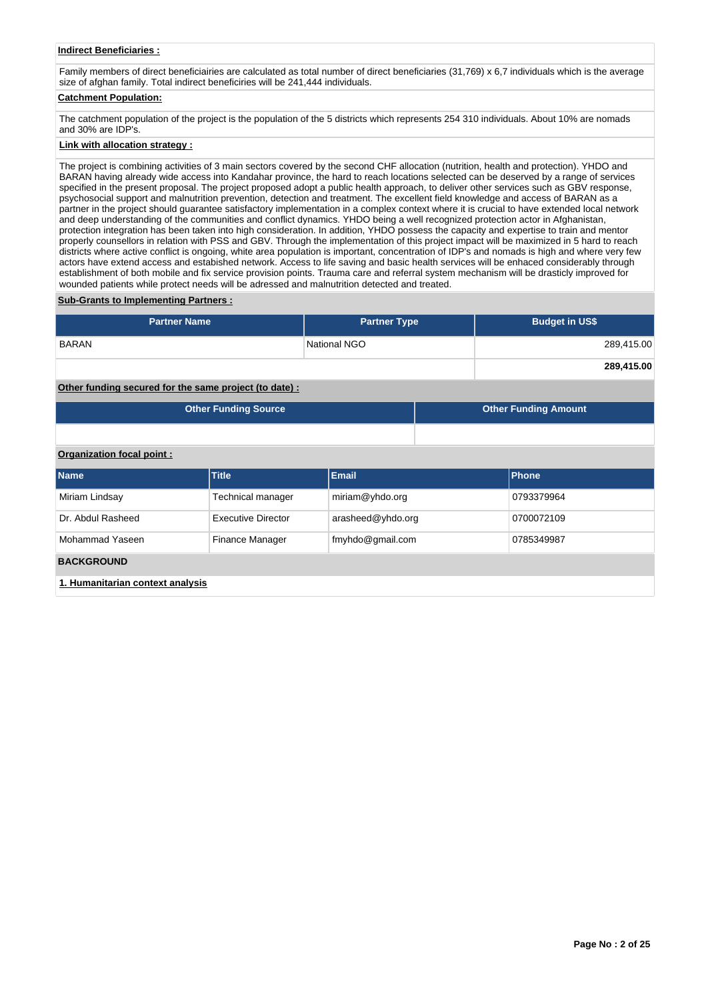# **Indirect Beneficiaries :**

Family members of direct beneficiairies are calculated as total number of direct beneficiaries (31,769) x 6,7 individuals which is the average size of afghan family. Total indirect beneficiries will be 241,444 individuals.

# **Catchment Population:**

The catchment population of the project is the population of the 5 districts which represents 254 310 individuals. About 10% are nomads and 30% are IDP's.

#### **Link with allocation strategy :**

The project is combining activities of 3 main sectors covered by the second CHF allocation (nutrition, health and protection). YHDO and BARAN having already wide access into Kandahar province, the hard to reach locations selected can be deserved by a range of services specified in the present proposal. The project proposed adopt a public health approach, to deliver other services such as GBV response, psychosocial support and malnutrition prevention, detection and treatment. The excellent field knowledge and access of BARAN as a partner in the project should guarantee satisfactory implementation in a complex context where it is crucial to have extended local network and deep understanding of the communities and conflict dynamics. YHDO being a well recognized protection actor in Afghanistan, protection integration has been taken into high consideration. In addition, YHDO possess the capacity and expertise to train and mentor properly counsellors in relation with PSS and GBV. Through the implementation of this project impact will be maximized in 5 hard to reach districts where active conflict is ongoing, white area population is important, concentration of IDP's and nomads is high and where very few actors have extend access and estabished network. Access to life saving and basic health services will be enhaced considerably through establishment of both mobile and fix service provision points. Trauma care and referral system mechanism will be drasticly improved for wounded patients while protect needs will be adressed and malnutrition detected and treated.

#### **Sub-Grants to Implementing Partners :**

| <b>Partner Name</b>                                   | <b>Partner Type</b> | <b>Budget in US\$</b> |
|-------------------------------------------------------|---------------------|-----------------------|
| <b>BARAN</b>                                          | National NGO        | 289,415.00            |
|                                                       |                     | 289,415.00            |
| Other funding secured for the same project (to date): |                     |                       |

| <b>Other Funding Source</b> | Other Funding Amount |
|-----------------------------|----------------------|
|                             |                      |

## **Organization focal point :**

| <b>Name</b>                      | <b>Title</b>       | <b>Email</b>      | <b>Phone</b> |  |  |
|----------------------------------|--------------------|-------------------|--------------|--|--|
| Miriam Lindsay                   | Technical manager  | miriam@yhdo.org   | 0793379964   |  |  |
| Dr. Abdul Rasheed                | Executive Director | arasheed@yhdo.org | 0700072109   |  |  |
| Mohammad Yaseen                  | Finance Manager    | fmyhdo@gmail.com  | 0785349987   |  |  |
| <b>BACKGROUND</b>                |                    |                   |              |  |  |
| 1. Humanitarian context analysis |                    |                   |              |  |  |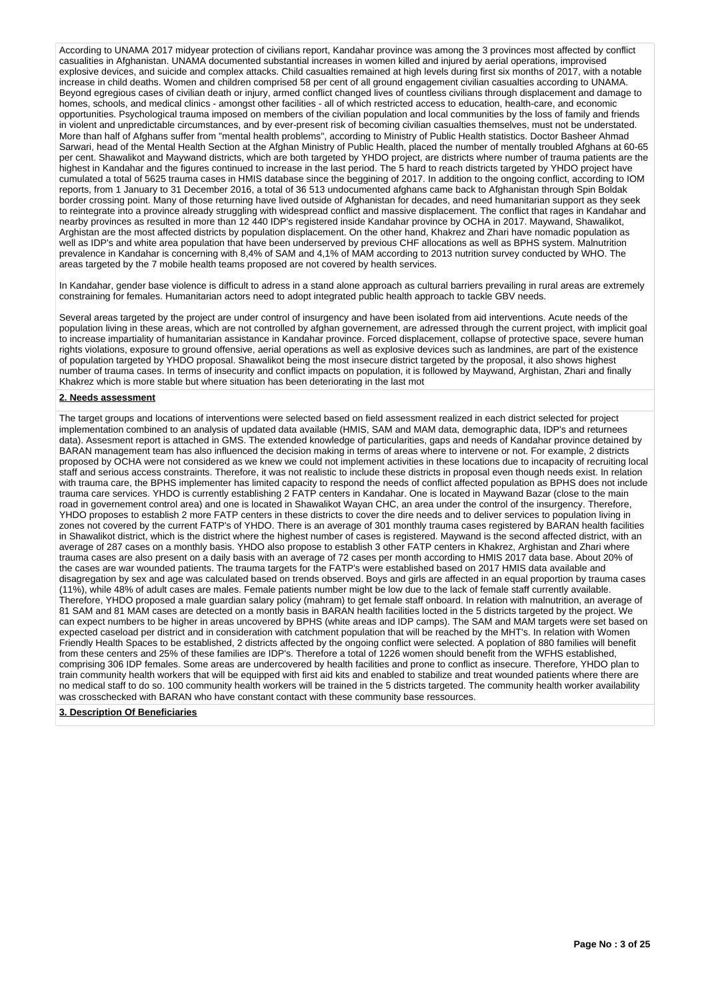According to UNAMA 2017 midyear protection of civilians report, Kandahar province was among the 3 provinces most affected by conflict casualities in Afghanistan. UNAMA documented substantial increases in women killed and injured by aerial operations, improvised explosive devices, and suicide and complex attacks. Child casualties remained at high levels during first six months of 2017, with a notable increase in child deaths. Women and children comprised 58 per cent of all ground engagement civilian casualties according to UNAMA. Beyond egregious cases of civilian death or injury, armed conflict changed lives of countless civilians through displacement and damage to homes, schools, and medical clinics - amongst other facilities - all of which restricted access to education, health-care, and economic opportunities. Psychological trauma imposed on members of the civilian population and local communities by the loss of family and friends in violent and unpredictable circumstances, and by ever-present risk of becoming civilian casualties themselves, must not be understated. More than half of Afghans suffer from "mental health problems", according to Ministry of Public Health statistics. Doctor Basheer Ahmad Sarwari, head of the Mental Health Section at the Afghan Ministry of Public Health, placed the number of mentally troubled Afghans at 60-65 per cent. Shawalikot and Maywand districts, which are both targeted by YHDO project, are districts where number of trauma patients are the highest in Kandahar and the figures continued to increase in the last period. The 5 hard to reach districts targeted by YHDO project have cumulated a total of 5625 trauma cases in HMIS database since the beggining of 2017. In addition to the ongoing conflict, according to IOM reports, from 1 January to 31 December 2016, a total of 36 513 undocumented afghans came back to Afghanistan through Spin Boldak border crossing point. Many of those returning have lived outside of Afghanistan for decades, and need humanitarian support as they seek to reintegrate into a province already struggling with widespread conflict and massive displacement. The conflict that rages in Kandahar and nearby provinces as resulted in more than 12 440 IDP's registered inside Kandahar province by OCHA in 2017. Maywand, Shawalikot, Arghistan are the most affected districts by population displacement. On the other hand, Khakrez and Zhari have nomadic population as well as IDP's and white area population that have been underserved by previous CHF allocations as well as BPHS system. Malnutrition prevalence in Kandahar is concerning with 8,4% of SAM and 4,1% of MAM according to 2013 nutrition survey conducted by WHO. The areas targeted by the 7 mobile health teams proposed are not covered by health services.

In Kandahar, gender base violence is difficult to adress in a stand alone approach as cultural barriers prevailing in rural areas are extremely constraining for females. Humanitarian actors need to adopt integrated public health approach to tackle GBV needs.

Several areas targeted by the project are under control of insurgency and have been isolated from aid interventions. Acute needs of the population living in these areas, which are not controlled by afghan governement, are adressed through the current project, with implicit goal to increase impartiality of humanitarian assistance in Kandahar province. Forced displacement, collapse of protective space, severe human rights violations, exposure to ground offensive, aerial operations as well as explosive devices such as landmines, are part of the existence of population targeted by YHDO proposal. Shawalikot being the most insecure district targeted by the proposal, it also shows highest number of trauma cases. In terms of insecurity and conflict impacts on population, it is followed by Maywand, Arghistan, Zhari and finally Khakrez which is more stable but where situation has been deteriorating in the last mot

# **2. Needs assessment**

The target groups and locations of interventions were selected based on field assessment realized in each district selected for project implementation combined to an analysis of updated data available (HMIS, SAM and MAM data, demographic data, IDP's and returnees data). Assesment report is attached in GMS. The extended knowledge of particularities, gaps and needs of Kandahar province detained by BARAN management team has also influenced the decision making in terms of areas where to intervene or not. For example, 2 districts proposed by OCHA were not considered as we knew we could not implement activities in these locations due to incapacity of recruiting local staff and serious access constraints. Therefore, it was not realistic to include these districts in proposal even though needs exist. In relation with trauma care, the BPHS implementer has limited capacity to respond the needs of conflict affected population as BPHS does not include trauma care services. YHDO is currently establishing 2 FATP centers in Kandahar. One is located in Maywand Bazar (close to the main road in governement control area) and one is located in Shawalikot Wayan CHC, an area under the control of the insurgency. Therefore, YHDO proposes to establish 2 more FATP centers in these districts to cover the dire needs and to deliver services to population living in zones not covered by the current FATP's of YHDO. There is an average of 301 monthly trauma cases registered by BARAN health facilities in Shawalikot district, which is the district where the highest number of cases is registered. Maywand is the second affected district, with an average of 287 cases on a monthly basis. YHDO also propose to establish 3 other FATP centers in Khakrez, Arghistan and Zhari where trauma cases are also present on a daily basis with an average of 72 cases per month according to HMIS 2017 data base. About 20% of the cases are war wounded patients. The trauma targets for the FATP's were established based on 2017 HMIS data available and disagregation by sex and age was calculated based on trends observed. Boys and girls are affected in an equal proportion by trauma cases (11%), while 48% of adult cases are males. Female patients number might be low due to the lack of female staff currently available. Therefore, YHDO proposed a male guardian salary policy (mahram) to get female staff onboard. In relation with malnutrition, an average of 81 SAM and 81 MAM cases are detected on a montly basis in BARAN health facilities locted in the 5 districts targeted by the project. We can expect numbers to be higher in areas uncovered by BPHS (white areas and IDP camps). The SAM and MAM targets were set based on expected caseload per district and in consideration with catchment population that will be reached by the MHT's. In relation with Women Friendly Health Spaces to be established, 2 districts affected by the ongoing conflict were selected. A poplation of 880 families will benefit from these centers and 25% of these families are IDP's. Therefore a total of 1226 women should benefit from the WFHS established, comprising 306 IDP females. Some areas are undercovered by health facilities and prone to conflict as insecure. Therefore, YHDO plan to train community health workers that will be equipped with first aid kits and enabled to stabilize and treat wounded patients where there are no medical staff to do so. 100 community health workers will be trained in the 5 districts targeted. The community health worker availability was crosschecked with BARAN who have constant contact with these community base ressources.

### **3. Description Of Beneficiaries**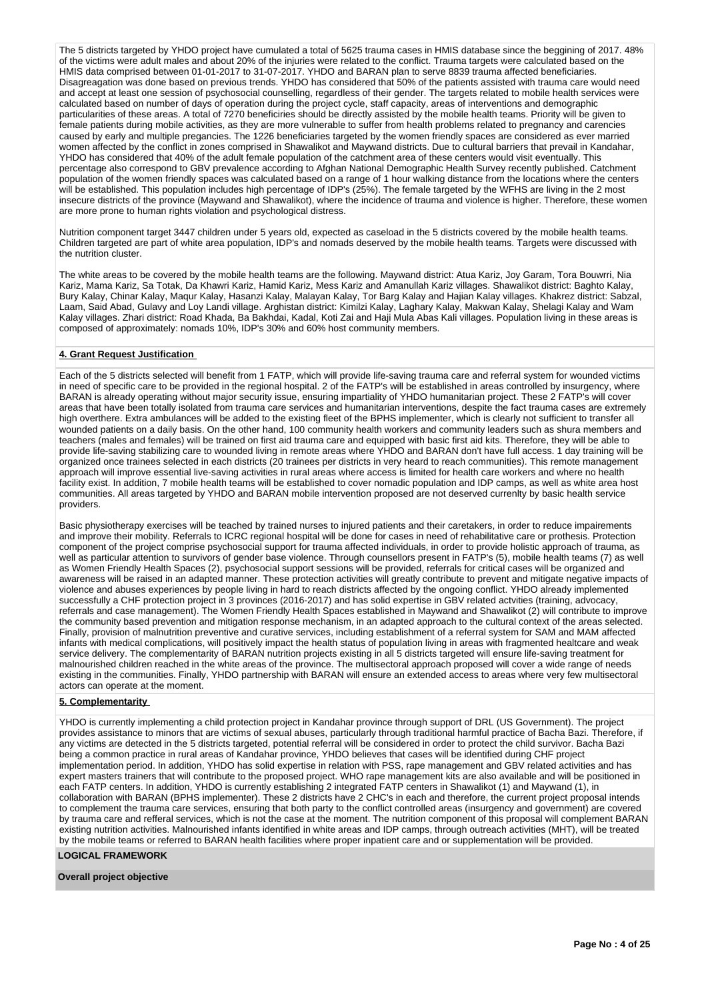The 5 districts targeted by YHDO project have cumulated a total of 5625 trauma cases in HMIS database since the beggining of 2017. 48% of the victims were adult males and about 20% of the injuries were related to the conflict. Trauma targets were calculated based on the HMIS data comprised between 01-01-2017 to 31-07-2017. YHDO and BARAN plan to serve 8839 trauma affected beneficiaries. Disagreagation was done based on previous trends. YHDO has considered that 50% of the patients assisted with trauma care would need and accept at least one session of psychosocial counselling, regardless of their gender. The targets related to mobile health services were calculated based on number of days of operation during the project cycle, staff capacity, areas of interventions and demographic particularities of these areas. A total of 7270 beneficiries should be directly assisted by the mobile health teams. Priority will be given to female patients during mobile activities, as they are more vulnerable to suffer from health problems related to pregnancy and carencies caused by early and multiple pregancies. The 1226 beneficiaries targeted by the women friendly spaces are considered as ever married women affected by the conflict in zones comprised in Shawalikot and Maywand districts. Due to cultural barriers that prevail in Kandahar, YHDO has considered that 40% of the adult female population of the catchment area of these centers would visit eventually. This percentage also correspond to GBV prevalence according to Afghan National Demographic Health Survey recently published. Catchment population of the women friendly spaces was calculated based on a range of 1 hour walking distance from the locations where the centers will be established. This population includes high percentage of IDP's (25%). The female targeted by the WFHS are living in the 2 most insecure districts of the province (Maywand and Shawalikot), where the incidence of trauma and violence is higher. Therefore, these women are more prone to human rights violation and psychological distress.

Nutrition component target 3447 children under 5 years old, expected as caseload in the 5 districts covered by the mobile health teams. Children targeted are part of white area population, IDP's and nomads deserved by the mobile health teams. Targets were discussed with the nutrition cluster.

The white areas to be covered by the mobile health teams are the following. Maywand district: Atua Kariz, Joy Garam, Tora Bouwrri, Nia Kariz, Mama Kariz, Sa Totak, Da Khawri Kariz, Hamid Kariz, Mess Kariz and Amanullah Kariz villages. Shawalikot district: Baghto Kalay, Bury Kalay, Chinar Kalay, Maqur Kalay, Hasanzi Kalay, Malayan Kalay, Tor Barg Kalay and Hajian Kalay villages. Khakrez district: Sabzal, Laam, Said Abad, Gulavy and Loy Landi village. Arghistan district: Kimilzi Kalay, Laghary Kalay, Makwan Kalay, Shelagi Kalay and Wam Kalay villages. Zhari district: Road Khada, Ba Bakhdai, Kadal, Koti Zai and Haji Mula Abas Kali villages. Population living in these areas is composed of approximately: nomads 10%, IDP's 30% and 60% host community members.

# **4. Grant Request Justification**

Each of the 5 districts selected will benefit from 1 FATP, which will provide life-saving trauma care and referral system for wounded victims in need of specific care to be provided in the regional hospital. 2 of the FATP's will be established in areas controlled by insurgency, where BARAN is already operating without major security issue, ensuring impartiality of YHDO humanitarian project. These 2 FATP's will cover areas that have been totally isolated from trauma care services and humanitarian interventions, despite the fact trauma cases are extremely high overthere. Extra ambulances will be added to the existing fleet of the BPHS implementer, which is clearly not sufficient to transfer all wounded patients on a daily basis. On the other hand, 100 community health workers and community leaders such as shura members and teachers (males and females) will be trained on first aid trauma care and equipped with basic first aid kits. Therefore, they will be able to provide life-saving stabilizing care to wounded living in remote areas where YHDO and BARAN don't have full access. 1 dav training will be organized once trainees selected in each districts (20 trainees per districts in very heard to reach communities). This remote management approach will improve essential live-saving activities in rural areas where access is limited for health care workers and where no health facility exist. In addition, 7 mobile health teams will be established to cover nomadic population and IDP camps, as well as white area host communities. All areas targeted by YHDO and BARAN mobile intervention proposed are not deserved currenlty by basic health service providers.

Basic physiotherapy exercises will be teached by trained nurses to injured patients and their caretakers, in order to reduce impairements and improve their mobility. Referrals to ICRC regional hospital will be done for cases in need of rehabilitative care or prothesis. Protection component of the project comprise psychosocial support for trauma affected individuals, in order to provide holistic approach of trauma, as well as particular attention to survivors of gender base violence. Through counsellors present in FATP's (5), mobile health teams (7) as well as Women Friendly Health Spaces (2), psychosocial support sessions will be provided, referrals for critical cases will be organized and awareness will be raised in an adapted manner. These protection activities will greatly contribute to prevent and mitigate negative impacts of violence and abuses experiences by people living in hard to reach districts affected by the ongoing conflict. YHDO already implemented successfully a CHF protection project in 3 provinces (2016-2017) and has solid expertise in GBV related actvities (training, advocacy, referrals and case management). The Women Friendly Health Spaces established in Maywand and Shawalikot (2) will contribute to improve the community based prevention and mitigation response mechanism, in an adapted approach to the cultural context of the areas selected. Finally, provision of malnutrition preventive and curative services, including establishment of a referral system for SAM and MAM affected infants with medical complications, will positively impact the health status of population living in areas with fragmented healtcare and weak service delivery. The complementarity of BARAN nutrition projects existing in all 5 districts targeted will ensure life-saving treatment for malnourished children reached in the white areas of the province. The multisectoral approach proposed will cover a wide range of needs existing in the communities. Finally, YHDO partnership with BARAN will ensure an extended access to areas where very few multisectoral actors can operate at the moment.

### **5. Complementarity**

YHDO is currently implementing a child protection project in Kandahar province through support of DRL (US Government). The project provides assistance to minors that are victims of sexual abuses, particularly through traditional harmful practice of Bacha Bazi. Therefore, if any victims are detected in the 5 districts targeted, potential referral will be considered in order to protect the child survivor. Bacha Bazi being a common practice in rural areas of Kandahar province, YHDO believes that cases will be identified during CHF project implementation period. In addition, YHDO has solid expertise in relation with PSS, rape management and GBV related activities and has expert masters trainers that will contribute to the proposed project. WHO rape management kits are also available and will be positioned in each FATP centers. In addition, YHDO is currently establishing 2 integrated FATP centers in Shawalikot (1) and Maywand (1), in collaboration with BARAN (BPHS implementer). These 2 districts have 2 CHC's in each and therefore, the current project proposal intends to complement the trauma care services, ensuring that both party to the conflict controlled areas (insurgency and government) are covered by trauma care and refferal services, which is not the case at the moment. The nutrition component of this proposal will complement BARAN existing nutrition activities. Malnourished infants identified in white areas and IDP camps, through outreach activities (MHT), will be treated by the mobile teams or referred to BARAN health facilities where proper inpatient care and or supplementation will be provided.

# **LOGICAL FRAMEWORK**

### **Overall project objective**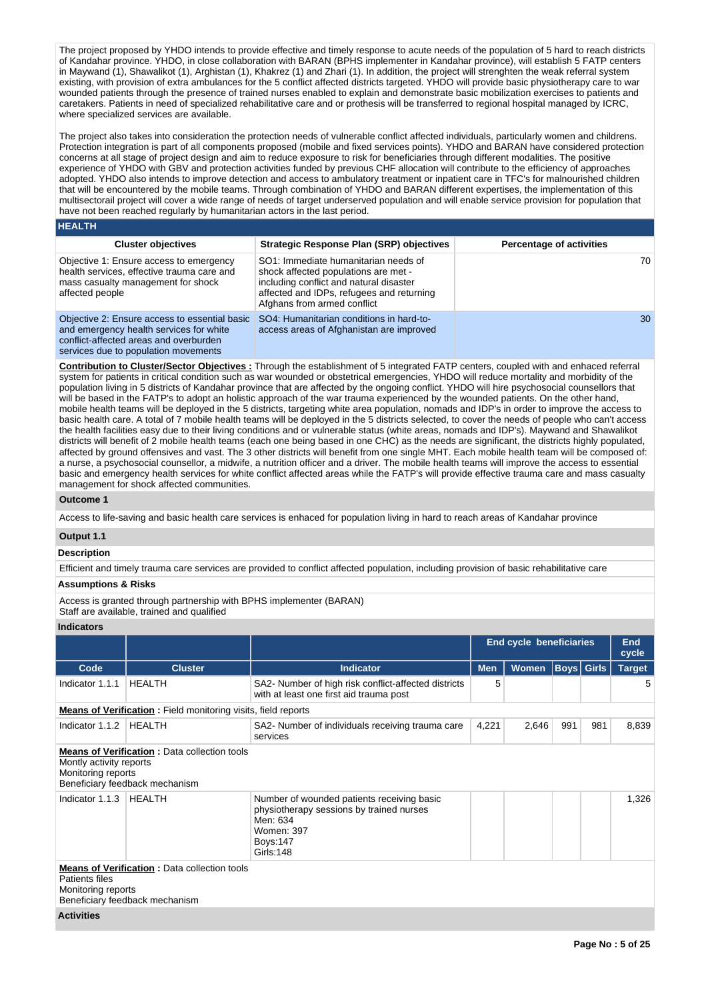The project proposed by YHDO intends to provide effective and timely response to acute needs of the population of 5 hard to reach districts of Kandahar province. YHDO, in close collaboration with BARAN (BPHS implementer in Kandahar province), will establish 5 FATP centers in Maywand (1), Shawalikot (1), Arghistan (1), Khakrez (1) and Zhari (1). In addition, the project will strenghten the weak referral system existing, with provision of extra ambulances for the 5 conflict affected districts targeted. YHDO will provide basic physiotherapy care to war wounded patients through the presence of trained nurses enabled to explain and demonstrate basic mobilization exercises to patients and caretakers. Patients in need of specialized rehabilitative care and or prothesis will be transferred to regional hospital managed by ICRC, where specialized services are available.

The project also takes into consideration the protection needs of vulnerable conflict affected individuals, particularly women and childrens. Protection integration is part of all components proposed (mobile and fixed services points). YHDO and BARAN have considered protection concerns at all stage of project design and aim to reduce exposure to risk for beneficiaries through different modalities. The positive experience of YHDO with GBV and protection activities funded by previous CHF allocation will contribute to the efficiency of approaches adopted. YHDO also intends to improve detection and access to ambulatory treatment or inpatient care in TFC's for malnourished children that will be encountered by the mobile teams. Through combination of YHDO and BARAN different expertises, the implementation of this multisectorail project will cover a wide range of needs of target underserved population and will enable service provision for population that have not been reached regularly by humanitarian actors in the last period.

#### **HEALTH**

| <b>Cluster objectives</b>                                                                                                                                                  | Strategic Response Plan (SRP) objectives                                                                                                                                                            | <b>Percentage of activities</b> |
|----------------------------------------------------------------------------------------------------------------------------------------------------------------------------|-----------------------------------------------------------------------------------------------------------------------------------------------------------------------------------------------------|---------------------------------|
| Objective 1: Ensure access to emergency<br>health services, effective trauma care and<br>mass casualty management for shock<br>affected people                             | SO1: Immediate humanitarian needs of<br>shock affected populations are met -<br>including conflict and natural disaster<br>affected and IDPs, refugees and returning<br>Afghans from armed conflict | 70                              |
| Objective 2: Ensure access to essential basic<br>and emergency health services for white<br>conflict-affected areas and overburden<br>services due to population movements | SO4: Humanitarian conditions in hard-to-<br>access areas of Afghanistan are improved                                                                                                                | 30                              |

**Contribution to Cluster/Sector Objectives :** Through the establishment of 5 integrated FATP centers, coupled with and enhaced referral system for patients in critical condition such as war wounded or obstetrical emergencies, YHDO will reduce mortality and morbidity of the population living in 5 districts of Kandahar province that are affected by the ongoing conflict. YHDO will hire psychosocial counsellors that will be based in the FATP's to adopt an holistic approach of the war trauma experienced by the wounded patients. On the other hand, mobile health teams will be deployed in the 5 districts, targeting white area population, nomads and IDP's in order to improve the access to basic health care. A total of 7 mobile health teams will be deployed in the 5 districts selected, to cover the needs of people who can't access the health facilities easy due to their living conditions and or vulnerable status (white areas, nomads and IDP's). Maywand and Shawalikot districts will benefit of 2 mobile health teams (each one being based in one CHC) as the needs are significant, the districts highly populated, affected by ground offensives and vast. The 3 other districts will benefit from one single MHT. Each mobile health team will be composed of: a nurse, a psychosocial counsellor, a midwife, a nutrition officer and a driver. The mobile health teams will improve the access to essential basic and emergency health services for white conflict affected areas while the FATP's will provide effective trauma care and mass casualty management for shock affected communities.

# **Outcome 1**

Access to life-saving and basic health care services is enhaced for population living in hard to reach areas of Kandahar province

# **Output 1.1**

# **Description**

Efficient and timely trauma care services are provided to conflict affected population, including provision of basic rehabilitative care

# **Assumptions & Risks**

Access is granted through partnership with BPHS implementer (BARAN)

Staff are available, trained and qualified

# **Indicators**

|                                                                      |                                                                                       |                                                                                                                                                   |            | <b>End cycle beneficiaries</b> |                   |     | <b>End</b><br>cycle |
|----------------------------------------------------------------------|---------------------------------------------------------------------------------------|---------------------------------------------------------------------------------------------------------------------------------------------------|------------|--------------------------------|-------------------|-----|---------------------|
| Code                                                                 | <b>Cluster</b>                                                                        | <b>Indicator</b>                                                                                                                                  | <b>Men</b> | Women                          | <b>Boys Girls</b> |     | <b>Target</b>       |
| Indicator 1.1.1                                                      | <b>HEALTH</b>                                                                         | SA2- Number of high risk conflict-affected districts<br>with at least one first aid trauma post                                                   | 5          |                                |                   |     | 5                   |
| <b>Means of Verification:</b> Field monitoring visits, field reports |                                                                                       |                                                                                                                                                   |            |                                |                   |     |                     |
| Indicator 1.1.2                                                      | HEALTH                                                                                | SA2- Number of individuals receiving trauma care<br>services                                                                                      | 4,221      | 2,646                          | 991               | 981 | 8,839               |
| Montly activity reports<br>Monitoring reports                        | <b>Means of Verification: Data collection tools</b><br>Beneficiary feedback mechanism |                                                                                                                                                   |            |                                |                   |     |                     |
| Indicator 1.1.3                                                      | HEALTH                                                                                | Number of wounded patients receiving basic<br>physiotherapy sessions by trained nurses<br>Men: 634<br>Women: 397<br><b>Boys:147</b><br>Girls: 148 |            |                                |                   |     | 1,326               |
| Patients files<br>Monitoring reports                                 | <b>Means of Verification: Data collection tools</b><br>Beneficiary feedback mechanism |                                                                                                                                                   |            |                                |                   |     |                     |
| <b>Activities</b>                                                    |                                                                                       |                                                                                                                                                   |            |                                |                   |     |                     |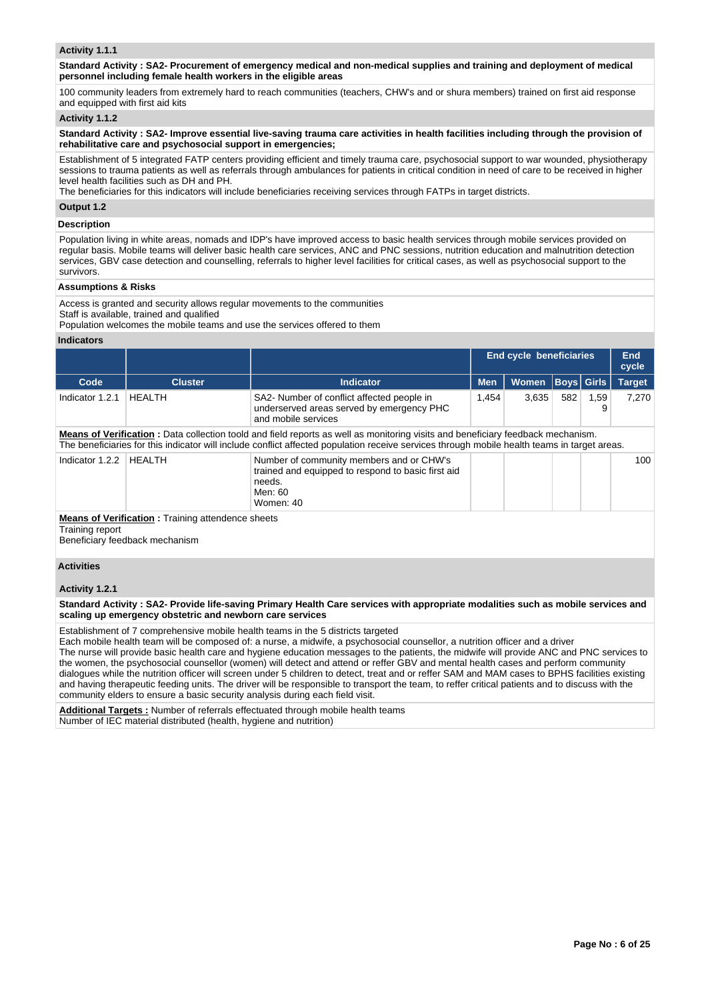## **Activity 1.1.1**

**Standard Activity : SA2- Procurement of emergency medical and non-medical supplies and training and deployment of medical personnel including female health workers in the eligible areas**

100 community leaders from extremely hard to reach communities (teachers, CHW's and or shura members) trained on first aid response and equipped with first aid kits

## **Activity 1.1.2**

**Standard Activity : SA2- Improve essential live-saving trauma care activities in health facilities including through the provision of rehabilitative care and psychosocial support in emergencies;**

Establishment of 5 integrated FATP centers providing efficient and timely trauma care, psychosocial support to war wounded, physiotherapy sessions to trauma patients as well as referrals through ambulances for patients in critical condition in need of care to be received in higher level health facilities such as DH and PH.

The beneficiaries for this indicators will include beneficiaries receiving services through FATPs in target districts.

# **Output 1.2**

### **Description**

Population living in white areas, nomads and IDP's have improved access to basic health services through mobile services provided on regular basis. Mobile teams will deliver basic health care services, ANC and PNC sessions, nutrition education and malnutrition detection services, GBV case detection and counselling, referrals to higher level facilities for critical cases, as well as psychosocial support to the survivors.

#### **Assumptions & Risks**

Access is granted and security allows regular movements to the communities

Staff is available, trained and qualified

Population welcomes the mobile teams and use the services offered to them

# **Indicators**

|                                                                                                               |                |                                                                                                                                              |            | <b>End cycle beneficiaries</b> |                   |           | <b>End</b><br>cycle |
|---------------------------------------------------------------------------------------------------------------|----------------|----------------------------------------------------------------------------------------------------------------------------------------------|------------|--------------------------------|-------------------|-----------|---------------------|
| Code                                                                                                          | <b>Cluster</b> | <b>Indicator</b>                                                                                                                             | <b>Men</b> | <b>Women</b>                   | <b>Boys</b> Girls |           | <b>Target</b>       |
| Indicator 1.2.1                                                                                               | <b>HEALTH</b>  | SA2- Number of conflict affected people in<br>underserved areas served by emergency PHC<br>and mobile services                               | 1,454      | 3,635                          | 582               | 1,59<br>9 | 7,270               |
|                                                                                                               |                | Means of Verification: Data collection toold and field reports as well as monitoring visits and beneficiary feedback mechanism.              |            |                                |                   |           |                     |
|                                                                                                               |                | The beneficiaries for this indicator will include conflict affected population receive services through mobile health teams in target areas. |            |                                |                   |           |                     |
| Indicator 1.2.2                                                                                               | <b>HEALTH</b>  | Number of community members and or CHW's<br>trained and equipped to respond to basic first aid<br>needs.<br>Men: 60<br>Women: 40             |            |                                |                   |           | 100                 |
| <b>Means of Verification:</b> Training attendence sheets<br>Training report<br>Beneficiary feedback mechanism |                |                                                                                                                                              |            |                                |                   |           |                     |
| <b>Activities</b><br>Activity 1.2.1                                                                           |                |                                                                                                                                              |            |                                |                   |           |                     |
|                                                                                                               |                | Standard Activity: SA2- Provide life-saving Primary Health Care services with appropriate modalities such as mobile services and             |            |                                |                   |           |                     |
| scaling up emergency obstetric and newborn care services                                                      |                |                                                                                                                                              |            |                                |                   |           |                     |

Establishment of 7 comprehensive mobile health teams in the 5 districts targeted

Each mobile health team will be composed of: a nurse, a midwife, a psychosocial counsellor, a nutrition officer and a driver

The nurse will provide basic health care and hygiene education messages to the patients, the midwife will provide ANC and PNC services to the women, the psychosocial counsellor (women) will detect and attend or reffer GBV and mental health cases and perform community dialogues while the nutrition officer will screen under 5 children to detect, treat and or reffer SAM and MAM cases to BPHS facilities existing and having therapeutic feeding units. The driver will be responsible to transport the team, to reffer critical patients and to discuss with the community elders to ensure a basic security analysis during each field visit.

**Additional Targets :** Number of referrals effectuated through mobile health teams Number of IEC material distributed (health, hygiene and nutrition)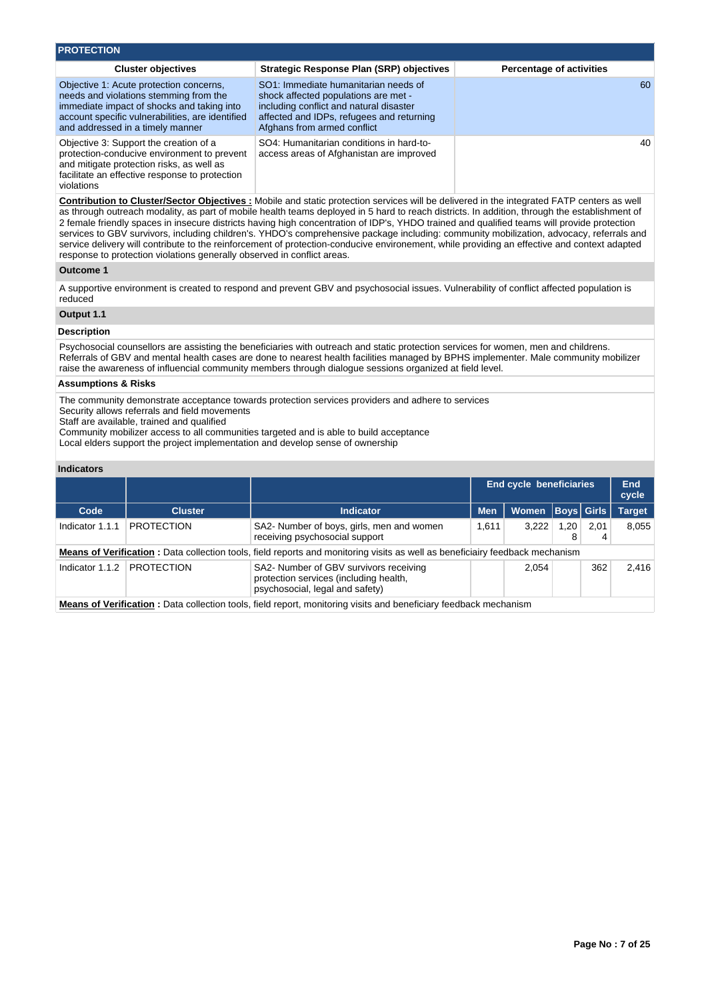| <b>PROTECTION</b>                                                                                                                                                                                                       |                                                                                                                                                                                                     |                                 |
|-------------------------------------------------------------------------------------------------------------------------------------------------------------------------------------------------------------------------|-----------------------------------------------------------------------------------------------------------------------------------------------------------------------------------------------------|---------------------------------|
| <b>Cluster objectives</b>                                                                                                                                                                                               | <b>Strategic Response Plan (SRP) objectives</b>                                                                                                                                                     | <b>Percentage of activities</b> |
| Objective 1: Acute protection concerns,<br>needs and violations stemming from the<br>immediate impact of shocks and taking into<br>account specific vulnerabilities, are identified<br>and addressed in a timely manner | SO1: Immediate humanitarian needs of<br>shock affected populations are met -<br>including conflict and natural disaster<br>affected and IDPs, refugees and returning<br>Afghans from armed conflict | 60                              |
| Objective 3: Support the creation of a<br>protection-conducive environment to prevent<br>and mitigate protection risks, as well as<br>facilitate an effective response to protection<br>violations                      | SO4: Humanitarian conditions in hard-to-<br>access areas of Afghanistan are improved                                                                                                                | 40                              |

**Contribution to Cluster/Sector Objectives :** Mobile and static protection services will be delivered in the integrated FATP centers as well as through outreach modality, as part of mobile health teams deployed in 5 hard to reach districts. In addition, through the establishment of 2 female friendly spaces in insecure districts having high concentration of IDP's, YHDO trained and qualified teams will provide protection services to GBV survivors, including children's. YHDO's comprehensive package including: community mobilization, advocacy, referrals and service delivery will contribute to the reinforcement of protection-conducive environement, while providing an effective and context adapted response to protection violations generally observed in conflict areas.

### **Outcome 1**

A supportive environment is created to respond and prevent GBV and psychosocial issues. Vulnerability of conflict affected population is reduced

### **Output 1.1**

# **Description**

Psychosocial counsellors are assisting the beneficiaries with outreach and static protection services for women, men and childrens. Referrals of GBV and mental health cases are done to nearest health facilities managed by BPHS implementer. Male community mobilizer raise the awareness of influencial community members through dialogue sessions organized at field level.

# **Assumptions & Risks**

The community demonstrate acceptance towards protection services providers and adhere to services

Security allows referrals and field movements

Staff are available, trained and qualified

Community mobilizer access to all communities targeted and is able to build acceptance

Local elders support the project implementation and develop sense of ownership

# **Indicators**

|                                                                                                                          |                   |                                                                                                                              |            | <b>End cycle beneficiaries</b> |           |              | End<br>cycle  |
|--------------------------------------------------------------------------------------------------------------------------|-------------------|------------------------------------------------------------------------------------------------------------------------------|------------|--------------------------------|-----------|--------------|---------------|
| Code                                                                                                                     | <b>Cluster</b>    | <b>Indicator</b>                                                                                                             | <b>Men</b> | <b>Women</b>                   |           | Boys   Girls | <b>Target</b> |
| Indicator 1.1.1                                                                                                          | <b>PROTECTION</b> | SA2- Number of boys, girls, men and women<br>receiving psychosocial support                                                  | 1.611      | 3.222                          | 1,20<br>8 | 2.01<br>4    | 8.055         |
|                                                                                                                          |                   | Means of Verification: Data collection tools, field reports and monitoring visits as well as beneficiairy feedback mechanism |            |                                |           |              |               |
| Indicator 1.1.2                                                                                                          | <b>PROTECTION</b> | SA2- Number of GBV survivors receiving<br>protection services (including health,<br>psychosocial, legal and safety)          |            | 2.054                          |           | 362          | 2.416         |
| <b>Means of Verification</b> : Data collection tools, field report, monitoring visits and beneficiary feedback mechanism |                   |                                                                                                                              |            |                                |           |              |               |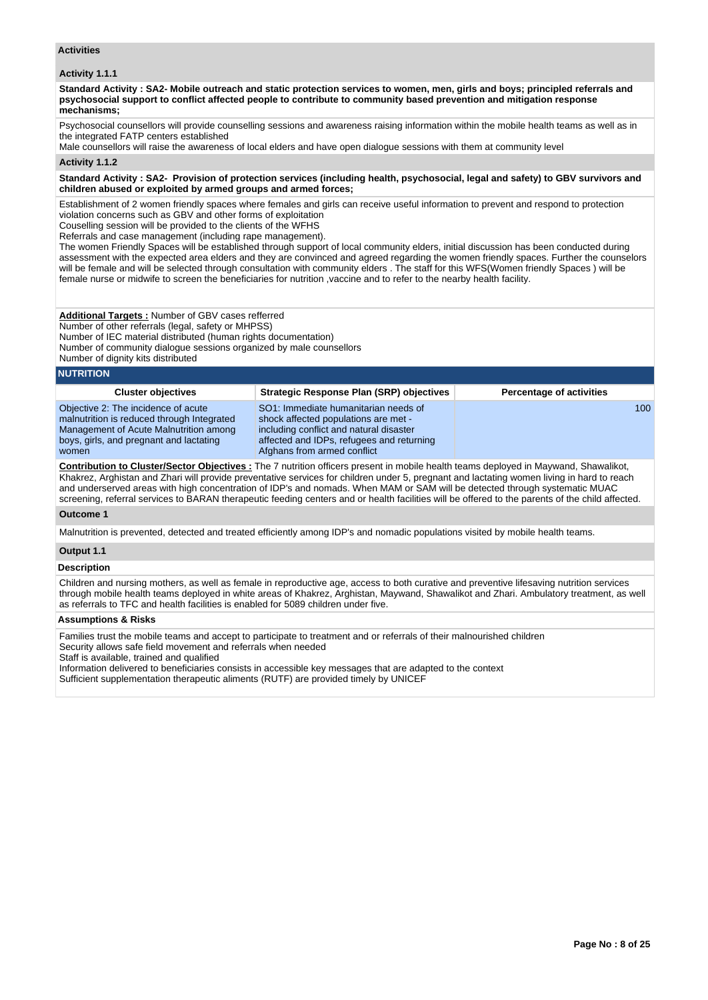## **Activities**

# **Activity 1.1.1**

**Standard Activity : SA2- Mobile outreach and static protection services to women, men, girls and boys; principled referrals and psychosocial support to conflict affected people to contribute to community based prevention and mitigation response mechanisms;**

Psychosocial counsellors will provide counselling sessions and awareness raising information within the mobile health teams as well as in the integrated FATP centers established

Male counsellors will raise the awareness of local elders and have open dialogue sessions with them at community level

#### **Activity 1.1.2**

#### **Standard Activity : SA2- Provision of protection services (including health, psychosocial, legal and safety) to GBV survivors and children abused or exploited by armed groups and armed forces;**

Establishment of 2 women friendly spaces where females and girls can receive useful information to prevent and respond to protection violation concerns such as GBV and other forms of exploitation

Couselling session will be provided to the clients of the WFHS

Referrals and case management (including rape management).

The women Friendly Spaces will be established through support of local community elders, initial discussion has been conducted during assessment with the expected area elders and they are convinced and agreed regarding the women friendly spaces. Further the counselors will be female and will be selected through consultation with community elders . The staff for this WFS(Women friendly Spaces ) will be female nurse or midwife to screen the beneficiaries for nutrition ,vaccine and to refer to the nearby health facility.

# **Additional Targets :** Number of GBV cases refferred

Number of other referrals (legal, safety or MHPSS)

Number of IEC material distributed (human rights documentation)

Number of community dialogue sessions organized by male counsellors

Number of dignity kits distributed

# **NUTRITION**

| <b>Cluster objectives</b>                                                                                                                                                       | <b>Strategic Response Plan (SRP) objectives</b>                                                                                                                                                     | <b>Percentage of activities</b> |
|---------------------------------------------------------------------------------------------------------------------------------------------------------------------------------|-----------------------------------------------------------------------------------------------------------------------------------------------------------------------------------------------------|---------------------------------|
| Objective 2: The incidence of acute<br>malnutrition is reduced through Integrated<br>Management of Acute Malnutrition among<br>boys, girls, and pregnant and lactating<br>women | SO1: Immediate humanitarian needs of<br>shock affected populations are met -<br>including conflict and natural disaster<br>affected and IDPs, refugees and returning<br>Afghans from armed conflict | 100 <sup>°</sup>                |
|                                                                                                                                                                                 |                                                                                                                                                                                                     |                                 |

**Contribution to Cluster/Sector Objectives :** The 7 nutrition officers present in mobile health teams deployed in Maywand, Shawalikot, Khakrez, Arghistan and Zhari will provide preventative services for children under 5, pregnant and lactating women living in hard to reach and underserved areas with high concentration of IDP's and nomads. When MAM or SAM will be detected through systematic MUAC screening, referral services to BARAN therapeutic feeding centers and or health facilities will be offered to the parents of the child affected.

# **Outcome 1**

Malnutrition is prevented, detected and treated efficiently among IDP's and nomadic populations visited by mobile health teams.

# **Output 1.1**

# **Description**

Children and nursing mothers, as well as female in reproductive age, access to both curative and preventive lifesaving nutrition services through mobile health teams deployed in white areas of Khakrez, Arghistan, Maywand, Shawalikot and Zhari. Ambulatory treatment, as well as referrals to TFC and health facilities is enabled for 5089 children under five.

### **Assumptions & Risks**

Families trust the mobile teams and accept to participate to treatment and or referrals of their malnourished children Security allows safe field movement and referrals when needed Staff is available, trained and qualified

Information delivered to beneficiaries consists in accessible key messages that are adapted to the context Sufficient supplementation therapeutic aliments (RUTF) are provided timely by UNICEF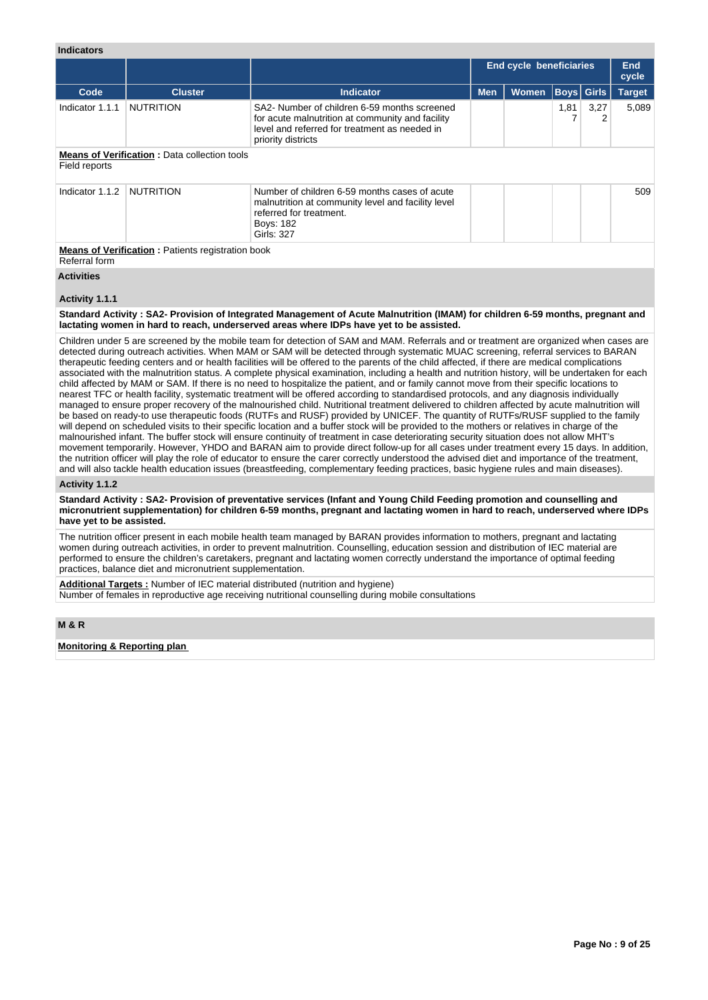# **Indicators**

|                 |                                                           |                                                                                                                                                                         |            | <b>End cycle beneficiaries</b> |      |                   | <b>End</b><br>cycle |
|-----------------|-----------------------------------------------------------|-------------------------------------------------------------------------------------------------------------------------------------------------------------------------|------------|--------------------------------|------|-------------------|---------------------|
| Code            | <b>Cluster</b>                                            | <b>Indicator</b>                                                                                                                                                        | <b>Men</b> | <b>Women</b>                   |      | <b>Boys</b> Girls | <b>Target</b>       |
| Indicator 1.1.1 | <b>NUTRITION</b>                                          | SA2- Number of children 6-59 months screened<br>for acute malnutrition at community and facility<br>level and referred for treatment as needed in<br>priority districts |            |                                | 1,81 | 3,27              | 5,089               |
| Field reports   | <b>Means of Verification: Data collection tools</b>       |                                                                                                                                                                         |            |                                |      |                   |                     |
| Indicator 1.1.2 | <b>NUTRITION</b>                                          | Number of children 6-59 months cases of acute<br>malnutrition at community level and facility level<br>referred for treatment.<br>Boys: 182<br>Girls: 327               |            |                                |      |                   | 509                 |
| Referral form   | <b>Means of Verification : Patients registration book</b> |                                                                                                                                                                         |            |                                |      |                   |                     |

**Activities**

### **Activity 1.1.1**

### **Standard Activity : SA2- Provision of Integrated Management of Acute Malnutrition (IMAM) for children 6-59 months, pregnant and lactating women in hard to reach, underserved areas where IDPs have yet to be assisted.**

Children under 5 are screened by the mobile team for detection of SAM and MAM. Referrals and or treatment are organized when cases are detected during outreach activities. When MAM or SAM will be detected through systematic MUAC screening, referral services to BARAN therapeutic feeding centers and or health facilities will be offered to the parents of the child affected, if there are medical complications associated with the malnutrition status. A complete physical examination, including a health and nutrition history, will be undertaken for each child affected by MAM or SAM. If there is no need to hospitalize the patient, and or family cannot move from their specific locations to nearest TFC or health facility, systematic treatment will be offered according to standardised protocols, and any diagnosis individually managed to ensure proper recovery of the malnourished child. Nutritional treatment delivered to children affected by acute malnutrition will be based on ready-to use therapeutic foods (RUTFs and RUSF) provided by UNICEF. The quantity of RUTFs/RUSF supplied to the family will depend on scheduled visits to their specific location and a buffer stock will be provided to the mothers or relatives in charge of the malnourished infant. The buffer stock will ensure continuity of treatment in case deteriorating security situation does not allow MHT's movement temporarily. However, YHDO and BARAN aim to provide direct follow-up for all cases under treatment every 15 days. In addition, the nutrition officer will play the role of educator to ensure the carer correctly understood the advised diet and importance of the treatment, and will also tackle health education issues (breastfeeding, complementary feeding practices, basic hygiene rules and main diseases).

#### **Activity 1.1.2**

**Standard Activity : SA2- Provision of preventative services (Infant and Young Child Feeding promotion and counselling and micronutrient supplementation) for children 6-59 months, pregnant and lactating women in hard to reach, underserved where IDPs have yet to be assisted.**

The nutrition officer present in each mobile health team managed by BARAN provides information to mothers, pregnant and lactating women during outreach activities, in order to prevent malnutrition. Counselling, education session and distribution of IEC material are performed to ensure the children's caretakers, pregnant and lactating women correctly understand the importance of optimal feeding practices, balance diet and micronutrient supplementation.

**Additional Targets :** Number of IEC material distributed (nutrition and hygiene) Number of females in reproductive age receiving nutritional counselling during mobile consultations

## **M & R**

**Monitoring & Reporting plan**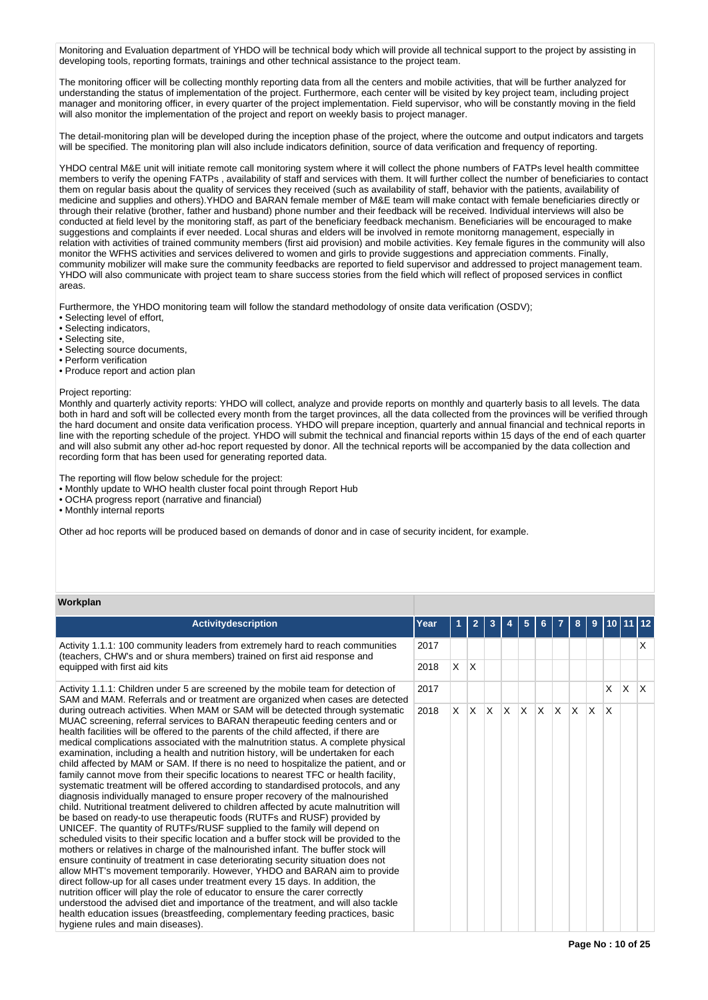Monitoring and Evaluation department of YHDO will be technical body which will provide all technical support to the project by assisting in developing tools, reporting formats, trainings and other technical assistance to the project team.

The monitoring officer will be collecting monthly reporting data from all the centers and mobile activities, that will be further analyzed for understanding the status of implementation of the project. Furthermore, each center will be visited by key project team, including project manager and monitoring officer, in every quarter of the project implementation. Field supervisor, who will be constantly moving in the field will also monitor the implementation of the project and report on weekly basis to project manager.

The detail-monitoring plan will be developed during the inception phase of the project, where the outcome and output indicators and targets will be specified. The monitoring plan will also include indicators definition, source of data verification and frequency of reporting.

YHDO central M&E unit will initiate remote call monitoring system where it will collect the phone numbers of FATPs level health committee members to verify the opening FATPs , availability of staff and services with them. It will further collect the number of beneficiaries to contact them on regular basis about the quality of services they received (such as availability of staff, behavior with the patients, availability of medicine and supplies and others).YHDO and BARAN female member of M&E team will make contact with female beneficiaries directly or through their relative (brother, father and husband) phone number and their feedback will be received. Individual interviews will also be conducted at field level by the monitoring staff, as part of the beneficiary feedback mechanism. Beneficiaries will be encouraged to make suggestions and complaints if ever needed. Local shuras and elders will be involved in remote monitorng management, especially in relation with activities of trained community members (first aid provision) and mobile activities. Key female figures in the community will also monitor the WFHS activities and services delivered to women and girls to provide suggestions and appreciation comments. Finally, community mobilizer will make sure the community feedbacks are reported to field supervisor and addressed to project management team. YHDO will also communicate with project team to share success stories from the field which will reflect of proposed services in conflict areas.

Furthermore, the YHDO monitoring team will follow the standard methodology of onsite data verification (OSDV);

- Selecting level of effort,
- Selecting indicators,
- Selecting site,
- Selecting source documents,
- Perform verification
- Produce report and action plan

#### Project reporting:

Monthly and quarterly activity reports: YHDO will collect, analyze and provide reports on monthly and quarterly basis to all levels. The data both in hard and soft will be collected every month from the target provinces, all the data collected from the provinces will be verified through the hard document and onsite data verification process. YHDO will prepare inception, quarterly and annual financial and technical reports in line with the reporting schedule of the project. YHDO will submit the technical and financial reports within 15 days of the end of each quarter and will also submit any other ad-hoc report requested by donor. All the technical reports will be accompanied by the data collection and recording form that has been used for generating reported data.

The reporting will flow below schedule for the project:

- Monthly update to WHO health cluster focal point through Report Hub
- OCHA progress report (narrative and financial)

• Monthly internal reports

Other ad hoc reports will be produced based on demands of donor and in case of security incident, for example.

# **Workplan**

| <b>Activitydescription</b>                                                                                                                                                                                                                                                                                                                                                                                                                                                                                                                                                                                                                                                                                                                                                                                                                                                                                                                                                                                                                                                                                                                                                                                                                                                                                                                                                                                                                                                                                                                                                                                                                                                                                                                                              | Year |   | 2   | 3  |          | 5  |     |     |    |     |              |          |   |
|-------------------------------------------------------------------------------------------------------------------------------------------------------------------------------------------------------------------------------------------------------------------------------------------------------------------------------------------------------------------------------------------------------------------------------------------------------------------------------------------------------------------------------------------------------------------------------------------------------------------------------------------------------------------------------------------------------------------------------------------------------------------------------------------------------------------------------------------------------------------------------------------------------------------------------------------------------------------------------------------------------------------------------------------------------------------------------------------------------------------------------------------------------------------------------------------------------------------------------------------------------------------------------------------------------------------------------------------------------------------------------------------------------------------------------------------------------------------------------------------------------------------------------------------------------------------------------------------------------------------------------------------------------------------------------------------------------------------------------------------------------------------------|------|---|-----|----|----------|----|-----|-----|----|-----|--------------|----------|---|
| Activity 1.1.1: 100 community leaders from extremely hard to reach communities<br>(teachers, CHW's and or shura members) trained on first aid response and                                                                                                                                                                                                                                                                                                                                                                                                                                                                                                                                                                                                                                                                                                                                                                                                                                                                                                                                                                                                                                                                                                                                                                                                                                                                                                                                                                                                                                                                                                                                                                                                              | 2017 |   |     |    |          |    |     |     |    |     |              |          | x |
| equipped with first aid kits                                                                                                                                                                                                                                                                                                                                                                                                                                                                                                                                                                                                                                                                                                                                                                                                                                                                                                                                                                                                                                                                                                                                                                                                                                                                                                                                                                                                                                                                                                                                                                                                                                                                                                                                            | 2018 | X | ΙX. |    |          |    |     |     |    |     |              |          |   |
| Activity 1.1.1: Children under 5 are screened by the mobile team for detection of<br>SAM and MAM. Referrals and or treatment are organized when cases are detected                                                                                                                                                                                                                                                                                                                                                                                                                                                                                                                                                                                                                                                                                                                                                                                                                                                                                                                                                                                                                                                                                                                                                                                                                                                                                                                                                                                                                                                                                                                                                                                                      | 2017 |   |     |    |          |    |     |     |    |     | $\times$     | $\times$ | X |
| during outreach activities. When MAM or SAM will be detected through systematic<br>MUAC screening, referral services to BARAN therapeutic feeding centers and or<br>health facilities will be offered to the parents of the child affected, if there are<br>medical complications associated with the malnutrition status. A complete physical<br>examination, including a health and nutrition history, will be undertaken for each<br>child affected by MAM or SAM. If there is no need to hospitalize the patient, and or<br>family cannot move from their specific locations to nearest TFC or health facility,<br>systematic treatment will be offered according to standardised protocols, and any<br>diagnosis individually managed to ensure proper recovery of the malnourished<br>child. Nutritional treatment delivered to children affected by acute malnutrition will<br>be based on ready-to use therapeutic foods (RUTFs and RUSF) provided by<br>UNICEF. The quantity of RUTFs/RUSF supplied to the family will depend on<br>scheduled visits to their specific location and a buffer stock will be provided to the<br>mothers or relatives in charge of the malnourished infant. The buffer stock will<br>ensure continuity of treatment in case deteriorating security situation does not<br>allow MHT's movement temporarily. However, YHDO and BARAN aim to provide<br>direct follow-up for all cases under treatment every 15 days. In addition, the<br>nutrition officer will play the role of educator to ensure the carer correctly<br>understood the advised diet and importance of the treatment, and will also tackle<br>health education issues (breastfeeding, complementary feeding practices, basic<br>hygiene rules and main diseases). | 2018 | X | ΙX. | X. | <b>X</b> | X. | ΙX. | ΙX. | X. | ΙX. | $\mathsf{X}$ |          |   |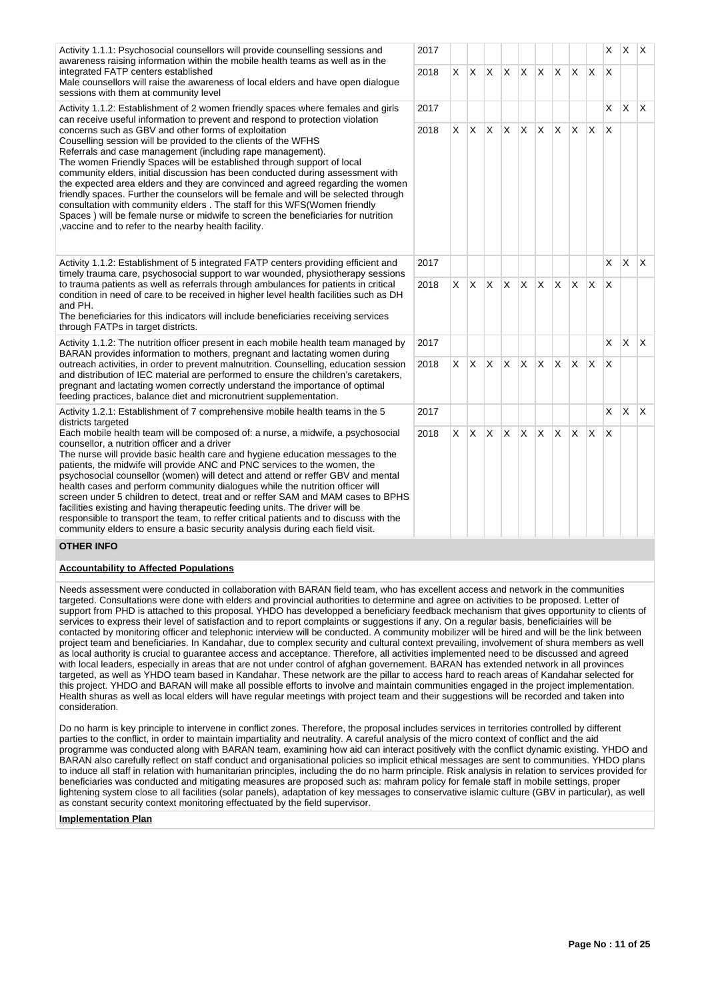| Activity 1.1.1: Psychosocial counsellors will provide counselling sessions and                                                                                                                                                                                                                                                                                                                                                                                                                                                                                                                                                                                                                                                                                                                                    | 2017 |    |              |                         |              |          |              |              |                |              | X                       | X.           | ΙX.          |
|-------------------------------------------------------------------------------------------------------------------------------------------------------------------------------------------------------------------------------------------------------------------------------------------------------------------------------------------------------------------------------------------------------------------------------------------------------------------------------------------------------------------------------------------------------------------------------------------------------------------------------------------------------------------------------------------------------------------------------------------------------------------------------------------------------------------|------|----|--------------|-------------------------|--------------|----------|--------------|--------------|----------------|--------------|-------------------------|--------------|--------------|
| awareness raising information within the mobile health teams as well as in the<br>integrated FATP centers established<br>Male counsellors will raise the awareness of local elders and have open dialogue<br>sessions with them at community level                                                                                                                                                                                                                                                                                                                                                                                                                                                                                                                                                                | 2018 | X  | $\mathsf{X}$ | $\mathsf{X}$            | <b>X</b>     | X        | X.           | $\mathsf{X}$ | X.             | <sup>X</sup> | $\overline{\mathsf{x}}$ |              |              |
| Activity 1.1.2: Establishment of 2 women friendly spaces where females and girls<br>can receive useful information to prevent and respond to protection violation                                                                                                                                                                                                                                                                                                                                                                                                                                                                                                                                                                                                                                                 | 2017 |    |              |                         |              |          |              |              |                |              | X                       | ΙX.          | $\mathsf{X}$ |
| concerns such as GBV and other forms of exploitation<br>Couselling session will be provided to the clients of the WFHS<br>Referrals and case management (including rape management).<br>The women Friendly Spaces will be established through support of local<br>community elders, initial discussion has been conducted during assessment with<br>the expected area elders and they are convinced and agreed regarding the women<br>friendly spaces. Further the counselors will be female and will be selected through<br>consultation with community elders. The staff for this WFS(Women friendly<br>Spaces) will be female nurse or midwife to screen the beneficiaries for nutrition<br>, vaccine and to refer to the nearby health facility.                                                              | 2018 | X. |              | $X$ $X$                 | X.           | <b>X</b> |              | $X$ $X$      | $\mathsf{X}^-$ | ΙX.          | $\times$                |              |              |
| Activity 1.1.2: Establishment of 5 integrated FATP centers providing efficient and<br>timely trauma care, psychosocial support to war wounded, physiotherapy sessions                                                                                                                                                                                                                                                                                                                                                                                                                                                                                                                                                                                                                                             | 2017 |    |              |                         |              |          |              |              |                |              | X                       | ΙX.          | $\mathsf{X}$ |
| to trauma patients as well as referrals through ambulances for patients in critical<br>condition in need of care to be received in higher level health facilities such as DH<br>and PH.<br>The beneficiaries for this indicators will include beneficiaries receiving services<br>through FATPs in target districts.                                                                                                                                                                                                                                                                                                                                                                                                                                                                                              | 2018 | X. | $\mathsf{X}$ | $\mathsf{X}$            | $\mathsf{X}$ | ΙX.      |              | $X$ $X$ $X$  |                | $\mathsf{X}$ | $\mathsf{X}$            |              |              |
| Activity 1.1.2: The nutrition officer present in each mobile health team managed by<br>BARAN provides information to mothers, pregnant and lactating women during                                                                                                                                                                                                                                                                                                                                                                                                                                                                                                                                                                                                                                                 |      |    |              |                         |              |          |              |              |                |              | $\times$                | $\mathsf{X}$ | $\mathsf{X}$ |
| outreach activities, in order to prevent malnutrition. Counselling, education session<br>and distribution of IEC material are performed to ensure the children's caretakers,<br>pregnant and lactating women correctly understand the importance of optimal<br>feeding practices, balance diet and micronutrient supplementation.                                                                                                                                                                                                                                                                                                                                                                                                                                                                                 |      | X. | $\mathsf{X}$ | $\mathsf{X}$            | <b>X</b>     | ΙX.      |              | $X$ $X$      | <b>X</b>       | ΙX.          | $\times$                |              |              |
| Activity 1.2.1: Establishment of 7 comprehensive mobile health teams in the 5<br>districts targeted                                                                                                                                                                                                                                                                                                                                                                                                                                                                                                                                                                                                                                                                                                               | 2017 |    |              |                         |              |          |              |              |                |              | X                       | X.           | $\mathsf{X}$ |
| Each mobile health team will be composed of: a nurse, a midwife, a psychosocial<br>counsellor, a nutrition officer and a driver<br>The nurse will provide basic health care and hygiene education messages to the<br>patients, the midwife will provide ANC and PNC services to the women, the<br>psychosocial counsellor (women) will detect and attend or reffer GBV and mental<br>health cases and perform community dialogues while the nutrition officer will<br>screen under 5 children to detect, treat and or reffer SAM and MAM cases to BPHS<br>facilities existing and having therapeutic feeding units. The driver will be<br>responsible to transport the team, to reffer critical patients and to discuss with the<br>community elders to ensure a basic security analysis during each field visit. | 2018 | X. | <b>X</b>     | $\mathsf{X} \mathsf{X}$ |              | <b>X</b> | $\mathsf{X}$ | ΙX.          | $\times$       | X            | X                       |              |              |

# **OTHER INFO**

## **Accountability to Affected Populations**

Needs assessment were conducted in collaboration with BARAN field team, who has excellent access and network in the communities targeted. Consultations were done with elders and provincial authorities to determine and agree on activities to be proposed. Letter of support from PHD is attached to this proposal. YHDO has developped a beneficiary feedback mechanism that gives opportunity to clients of services to express their level of satisfaction and to report complaints or suggestions if any. On a regular basis, beneficiairies will be contacted by monitoring officer and telephonic interview will be conducted. A community mobilizer will be hired and will be the link between project team and beneficiaries. In Kandahar, due to complex security and cultural context prevailing, involvement of shura members as well as local authority is crucial to guarantee access and acceptance. Therefore, all activities implemented need to be discussed and agreed with local leaders, especially in areas that are not under control of afghan governement. BARAN has extended network in all provinces targeted, as well as YHDO team based in Kandahar. These network are the pillar to access hard to reach areas of Kandahar selected for this project. YHDO and BARAN will make all possible efforts to involve and maintain communities engaged in the project implementation. Health shuras as well as local elders will have regular meetings with project team and their suggestions will be recorded and taken into consideration.

Do no harm is key principle to intervene in conflict zones. Therefore, the proposal includes services in territories controlled by different parties to the conflict, in order to maintain impartiality and neutrality. A careful analysis of the micro context of conflict and the aid programme was conducted along with BARAN team, examining how aid can interact positively with the conflict dynamic existing. YHDO and BARAN also carefully reflect on staff conduct and organisational policies so implicit ethical messages are sent to communities. YHDO plans to induce all staff in relation with humanitarian principles, including the do no harm principle. Risk analysis in relation to services provided for beneficiaries was conducted and mitigating measures are proposed such as: mahram policy for female staff in mobile settings, proper lightening system close to all facilities (solar panels), adaptation of key messages to conservative islamic culture (GBV in particular), as well as constant security context monitoring effectuated by the field supervisor.

#### **Implementation Plan**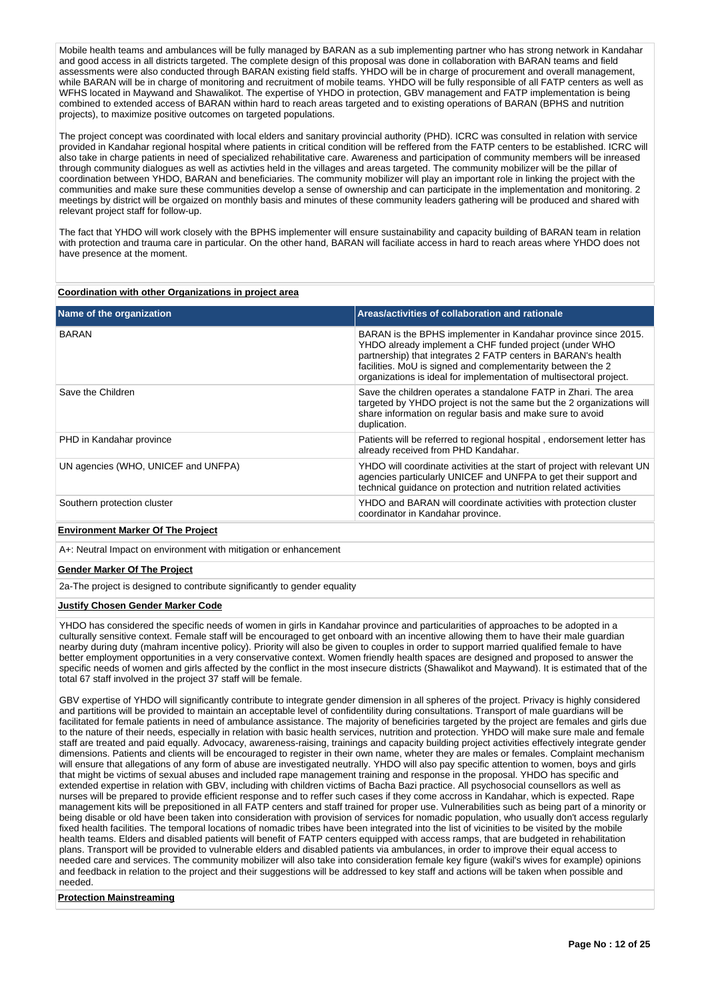Mobile health teams and ambulances will be fully managed by BARAN as a sub implementing partner who has strong network in Kandahar and good access in all districts targeted. The complete design of this proposal was done in collaboration with BARAN teams and field assessments were also conducted through BARAN existing field staffs. YHDO will be in charge of procurement and overall management, while BARAN will be in charge of monitoring and recruitment of mobile teams. YHDO will be fully responsible of all FATP centers as well as WFHS located in Maywand and Shawalikot. The expertise of YHDO in protection, GBV management and FATP implementation is being combined to extended access of BARAN within hard to reach areas targeted and to existing operations of BARAN (BPHS and nutrition projects), to maximize positive outcomes on targeted populations.

The project concept was coordinated with local elders and sanitary provincial authority (PHD). ICRC was consulted in relation with service provided in Kandahar regional hospital where patients in critical condition will be reffered from the FATP centers to be established. ICRC will also take in charge patients in need of specialized rehabilitative care. Awareness and participation of community members will be inreased through community dialogues as well as activties held in the villages and areas targeted. The community mobilizer will be the pillar of coordination between YHDO, BARAN and beneficiaries. The community mobilizer will play an important role in linking the project with the communities and make sure these communities develop a sense of ownership and can participate in the implementation and monitoring. 2 meetings by district will be orgaized on monthly basis and minutes of these community leaders gathering will be produced and shared with relevant project staff for follow-up.

The fact that YHDO will work closely with the BPHS implementer will ensure sustainability and capacity building of BARAN team in relation with protection and trauma care in particular. On the other hand, BARAN will faciliate access in hard to reach areas where YHDO does not have presence at the moment.

### **Coordination with other Organizations in project area**

| Name of the organization            | Areas/activities of collaboration and rationale                                                                                                                                                                                                                                                                                 |
|-------------------------------------|---------------------------------------------------------------------------------------------------------------------------------------------------------------------------------------------------------------------------------------------------------------------------------------------------------------------------------|
| <b>BARAN</b>                        | BARAN is the BPHS implementer in Kandahar province since 2015.<br>YHDO already implement a CHF funded project (under WHO<br>partnership) that integrates 2 FATP centers in BARAN's health<br>facilities. MoU is signed and complementarity between the 2<br>organizations is ideal for implementation of multisectoral project. |
| Save the Children                   | Save the children operates a standalone FATP in Zhari. The area<br>targeted by YHDO project is not the same but the 2 organizations will<br>share information on regular basis and make sure to avoid<br>duplication.                                                                                                           |
| PHD in Kandahar province            | Patients will be referred to regional hospital, endorsement letter has<br>already received from PHD Kandahar.                                                                                                                                                                                                                   |
| UN agencies (WHO, UNICEF and UNFPA) | YHDO will coordinate activities at the start of project with relevant UN<br>agencies particularly UNICEF and UNFPA to get their support and<br>technical quidance on protection and nutrition related activities                                                                                                                |
| Southern protection cluster         | YHDO and BARAN will coordinate activities with protection cluster<br>coordinator in Kandahar province.                                                                                                                                                                                                                          |

## **Environment Marker Of The Project**

A+: Neutral Impact on environment with mitigation or enhancement

#### **Gender Marker Of The Project**

2a-The project is designed to contribute significantly to gender equality

#### **Justify Chosen Gender Marker Code**

YHDO has considered the specific needs of women in girls in Kandahar province and particularities of approaches to be adopted in a culturally sensitive context. Female staff will be encouraged to get onboard with an incentive allowing them to have their male guardian nearby during duty (mahram incentive policy). Priority will also be given to couples in order to support married qualified female to have better employment opportunities in a very conservative context. Women friendly health spaces are designed and proposed to answer the specific needs of women and girls affected by the conflict in the most insecure districts (Shawalikot and Maywand). It is estimated that of the total 67 staff involved in the project 37 staff will be female.

GBV expertise of YHDO will significantly contribute to integrate gender dimension in all spheres of the project. Privacy is highly considered and partitions will be provided to maintain an acceptable level of confidentility during consultations. Transport of male guardians will be facilitated for female patients in need of ambulance assistance. The majority of beneficiries targeted by the project are females and girls due to the nature of their needs, especially in relation with basic health services, nutrition and protection. YHDO will make sure male and female staff are treated and paid equally. Advocacy, awareness-raising, trainings and capacity building project activities effectively integrate gender dimensions. Patients and clients will be encouraged to register in their own name, wheter they are males or females. Complaint mechanism will ensure that allegations of any form of abuse are investigated neutrally. YHDO will also pay specific attention to women, boys and girls that might be victims of sexual abuses and included rape management training and response in the proposal. YHDO has specific and extended expertise in relation with GBV, including with children victims of Bacha Bazi practice. All psychosocial counsellors as well as nurses will be prepared to provide efficient response and to reffer such cases if they come accross in Kandahar, which is expected. Rape management kits will be prepositioned in all FATP centers and staff trained for proper use. Vulnerabilities such as being part of a minority or being disable or old have been taken into consideration with provision of services for nomadic population, who usually don't access regularly fixed health facilities. The temporal locations of nomadic tribes have been integrated into the list of vicinities to be visited by the mobile health teams. Elders and disabled patients will benefit of FATP centers equipped with access ramps, that are budgeted in rehabilitation plans. Transport will be provided to vulnerable elders and disabled patients via ambulances, in order to improve their equal access to needed care and services. The community mobilizer will also take into consideration female key figure (wakil's wives for example) opinions and feedback in relation to the project and their suggestions will be addressed to key staff and actions will be taken when possible and needed.

### **Protection Mainstreaming**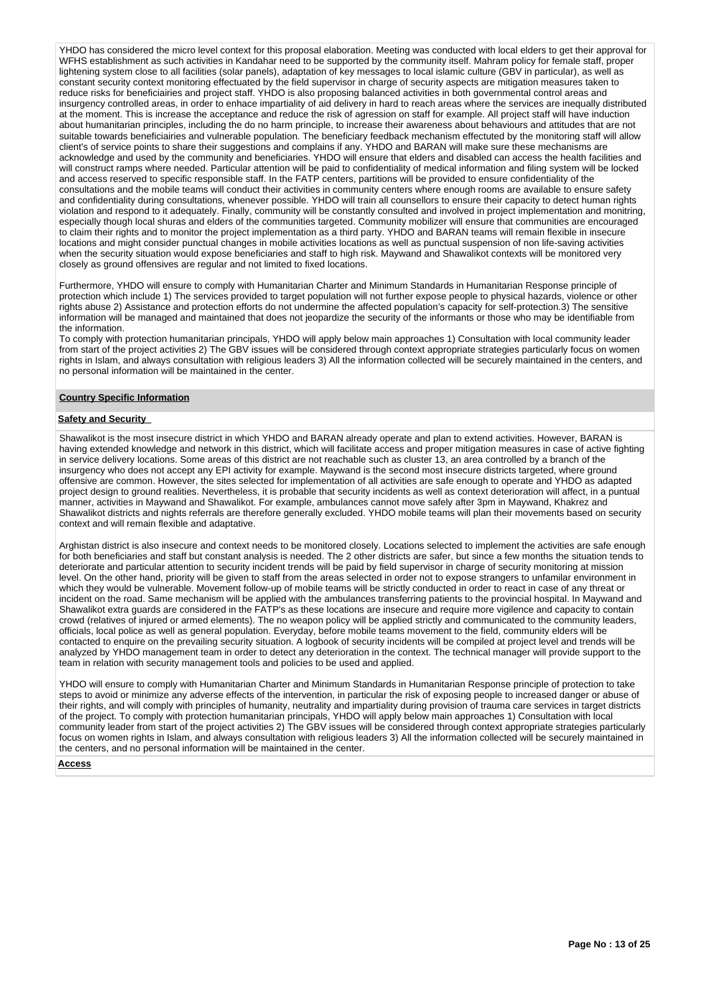YHDO has considered the micro level context for this proposal elaboration. Meeting was conducted with local elders to get their approval for WFHS establishment as such activities in Kandahar need to be supported by the community itself. Mahram policy for female staff, proper lightening system close to all facilities (solar panels), adaptation of key messages to local islamic culture (GBV in particular), as well as constant security context monitoring effectuated by the field supervisor in charge of security aspects are mitigation measures taken to reduce risks for beneficiairies and project staff. YHDO is also proposing balanced activities in both governmental control areas and insurgency controlled areas, in order to enhace impartiality of aid delivery in hard to reach areas where the services are inequally distributed at the moment. This is increase the acceptance and reduce the risk of agression on staff for example. All project staff will have induction about humanitarian principles, including the do no harm principle, to increase their awareness about behaviours and attitudes that are not suitable towards beneficiairies and vulnerable population. The beneficiary feedback mechanism effectuted by the monitoring staff will allow client's of service points to share their suggestions and complains if any. YHDO and BARAN will make sure these mechanisms are acknowledge and used by the community and beneficiaries. YHDO will ensure that elders and disabled can access the health facilities and will construct ramps where needed. Particular attention will be paid to confidentiality of medical information and filing system will be locked and access reserved to specific responsible staff. In the FATP centers, partitions will be provided to ensure confidentiality of the consultations and the mobile teams will conduct their activities in community centers where enough rooms are available to ensure safety and confidentiality during consultations, whenever possible. YHDO will train all counsellors to ensure their capacity to detect human rights violation and respond to it adequately. Finally, community will be constantly consulted and involved in project implementation and monitring, especially though local shuras and elders of the communities targeted. Community mobilizer will ensure that communities are encouraged to claim their rights and to monitor the project implementation as a third party. YHDO and BARAN teams will remain flexible in insecure locations and might consider punctual changes in mobile activities locations as well as punctual suspension of non life-saving activities when the security situation would expose beneficiaries and staff to high risk. Maywand and Shawalikot contexts will be monitored very closely as ground offensives are regular and not limited to fixed locations.

Furthermore, YHDO will ensure to comply with Humanitarian Charter and Minimum Standards in Humanitarian Response principle of protection which include 1) The services provided to target population will not further expose people to physical hazards, violence or other rights abuse 2) Assistance and protection efforts do not undermine the affected population's capacity for self-protection.3) The sensitive information will be managed and maintained that does not jeopardize the security of the informants or those who may be identifiable from the information.

To comply with protection humanitarian principals, YHDO will apply below main approaches 1) Consultation with local community leader from start of the project activities 2) The GBV issues will be considered through context appropriate strategies particularly focus on women rights in Islam, and always consultation with religious leaders 3) All the information collected will be securely maintained in the centers, and no personal information will be maintained in the center.

### **Country Specific Information**

#### **Safety and Security**

Shawalikot is the most insecure district in which YHDO and BARAN already operate and plan to extend activities. However, BARAN is having extended knowledge and network in this district, which will facilitate access and proper mitigation measures in case of active fighting in service delivery locations. Some areas of this district are not reachable such as cluster 13, an area controlled by a branch of the insurgency who does not accept any EPI activity for example. Maywand is the second most insecure districts targeted, where ground offensive are common. However, the sites selected for implementation of all activities are safe enough to operate and YHDO as adapted project design to ground realities. Nevertheless, it is probable that security incidents as well as context deterioration will affect, in a puntual manner, activities in Maywand and Shawalikot. For example, ambulances cannot move safely after 3pm in Maywand, Khakrez and Shawalikot districts and nights referrals are therefore generally excluded. YHDO mobile teams will plan their movements based on security context and will remain flexible and adaptative.

Arghistan district is also insecure and context needs to be monitored closely. Locations selected to implement the activities are safe enough for both beneficiaries and staff but constant analysis is needed. The 2 other districts are safer, but since a few months the situation tends to deteriorate and particular attention to security incident trends will be paid by field supervisor in charge of security monitoring at mission level. On the other hand, priority will be given to staff from the areas selected in order not to expose strangers to unfamilar environment in which they would be vulnerable. Movement follow-up of mobile teams will be strictly conducted in order to react in case of any threat or incident on the road. Same mechanism will be applied with the ambulances transferring patients to the provincial hospital. In Maywand and Shawalikot extra guards are considered in the FATP's as these locations are insecure and require more vigilence and capacity to contain crowd (relatives of injured or armed elements). The no weapon policy will be applied strictly and communicated to the community leaders, officials, local police as well as general population. Everyday, before mobile teams movement to the field, community elders will be contacted to enquire on the prevailing security situation. A logbook of security incidents will be compiled at project level and trends will be analyzed by YHDO management team in order to detect any deterioration in the context. The technical manager will provide support to the team in relation with security management tools and policies to be used and applied.

YHDO will ensure to comply with Humanitarian Charter and Minimum Standards in Humanitarian Response principle of protection to take steps to avoid or minimize any adverse effects of the intervention, in particular the risk of exposing people to increased danger or abuse of their rights, and will comply with principles of humanity, neutrality and impartiality during provision of trauma care services in target districts of the project. To comply with protection humanitarian principals, YHDO will apply below main approaches 1) Consultation with local community leader from start of the project activities 2) The GBV issues will be considered through context appropriate strategies particularly focus on women rights in Islam, and always consultation with religious leaders 3) All the information collected will be securely maintained in the centers, and no personal information will be maintained in the center.

#### **Access**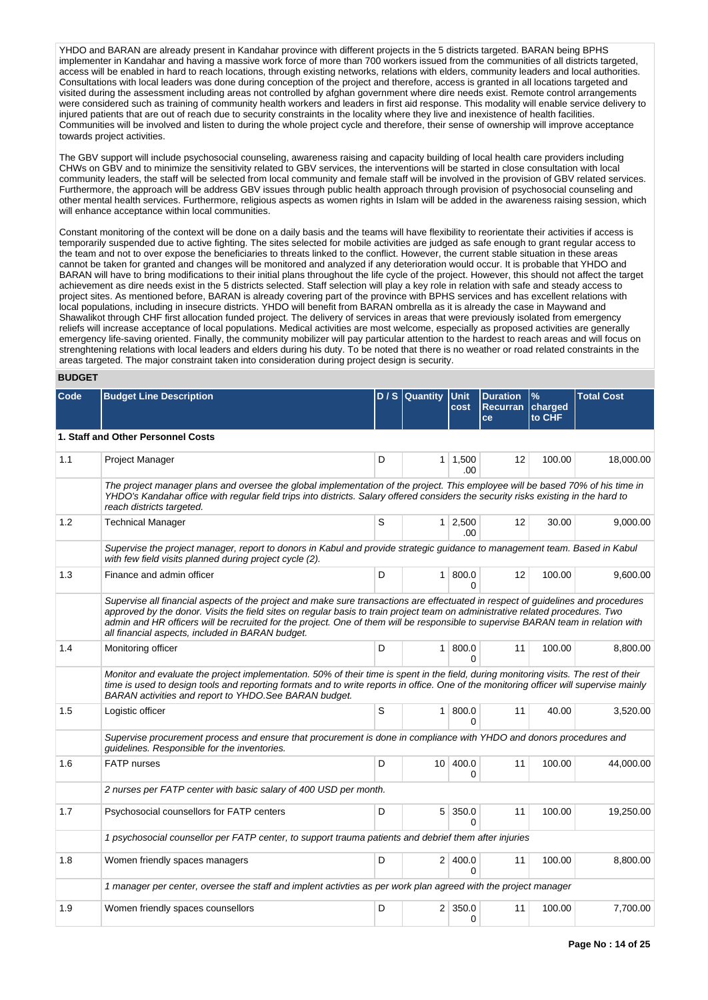YHDO and BARAN are already present in Kandahar province with different projects in the 5 districts targeted. BARAN being BPHS implementer in Kandahar and having a massive work force of more than 700 workers issued from the communities of all districts targeted, access will be enabled in hard to reach locations, through existing networks, relations with elders, community leaders and local authorities. Consultations with local leaders was done during conception of the project and therefore, access is granted in all locations targeted and visited during the assessment including areas not controlled by afghan government where dire needs exist. Remote control arrangements were considered such as training of community health workers and leaders in first aid response. This modality will enable service delivery to injured patients that are out of reach due to security constraints in the locality where they live and inexistence of health facilities. Communities will be involved and listen to during the whole project cycle and therefore, their sense of ownership will improve acceptance towards project activities.

The GBV support will include psychosocial counseling, awareness raising and capacity building of local health care providers including CHWs on GBV and to minimize the sensitivity related to GBV services, the interventions will be started in close consultation with local community leaders, the staff will be selected from local community and female staff will be involved in the provision of GBV related services. Furthermore, the approach will be address GBV issues through public health approach through provision of psychosocial counseling and other mental health services. Furthermore, religious aspects as women rights in Islam will be added in the awareness raising session, which will enhance acceptance within local communities.

Constant monitoring of the context will be done on a daily basis and the teams will have flexibility to reorientate their activities if access is temporarily suspended due to active fighting. The sites selected for mobile activities are judged as safe enough to grant regular access to the team and not to over expose the beneficiaries to threats linked to the conflict. However, the current stable situation in these areas cannot be taken for granted and changes will be monitored and analyzed if any deterioration would occur. It is probable that YHDO and BARAN will have to bring modifications to their initial plans throughout the life cycle of the project. However, this should not affect the target achievement as dire needs exist in the 5 districts selected. Staff selection will play a key role in relation with safe and steady access to project sites. As mentioned before, BARAN is already covering part of the province with BPHS services and has excellent relations with local populations, including in insecure districts. YHDO will benefit from BARAN ombrella as it is already the case in Maywand and Shawalikot through CHF first allocation funded project. The delivery of services in areas that were previously isolated from emergency reliefs will increase acceptance of local populations. Medical activities are most welcome, especially as proposed activities are generally emergency life-saving oriented. Finally, the community mobilizer will pay particular attention to the hardest to reach areas and will focus on strenghtening relations with local leaders and elders during his duty. To be noted that there is no weather or road related constraints in the areas targeted. The major constraint taken into consideration during project design is security.

# **BUDGET**

| Code | <b>Budget Line Description</b>                                                                                                                                                                                                                                                                                                                                                                                                                               |   | D / S   Quantity | <b>Unit</b><br>cost       | <b>Duration</b><br>Recurran charged | $\frac{9}{6}$ | <b>Total Cost</b> |
|------|--------------------------------------------------------------------------------------------------------------------------------------------------------------------------------------------------------------------------------------------------------------------------------------------------------------------------------------------------------------------------------------------------------------------------------------------------------------|---|------------------|---------------------------|-------------------------------------|---------------|-------------------|
|      |                                                                                                                                                                                                                                                                                                                                                                                                                                                              |   |                  |                           | <b>ce</b>                           | to CHF        |                   |
|      | 1. Staff and Other Personnel Costs                                                                                                                                                                                                                                                                                                                                                                                                                           |   |                  |                           |                                     |               |                   |
| 1.1  | Project Manager                                                                                                                                                                                                                                                                                                                                                                                                                                              | D | 1 <sup>1</sup>   | 1,500<br>.00.             | 12                                  | 100.00        | 18,000.00         |
|      | The project manager plans and oversee the global implementation of the project. This employee will be based 70% of his time in<br>YHDO's Kandahar office with regular field trips into districts. Salary offered considers the security risks existing in the hard to<br>reach districts targeted.                                                                                                                                                           |   |                  |                           |                                     |               |                   |
| 1.2  | <b>Technical Manager</b>                                                                                                                                                                                                                                                                                                                                                                                                                                     | S |                  | $1 \ 2,500$<br>.00        | 12                                  | 30.00         | 9,000.00          |
|      | Supervise the project manager, report to donors in Kabul and provide strategic guidance to management team. Based in Kabul<br>with few field visits planned during project cycle (2).                                                                                                                                                                                                                                                                        |   |                  |                           |                                     |               |                   |
| 1.3  | Finance and admin officer                                                                                                                                                                                                                                                                                                                                                                                                                                    | D |                  | 1   800.0<br>$\Omega$     | 12                                  | 100.00        | 9,600.00          |
|      | Supervise all financial aspects of the project and make sure transactions are effectuated in respect of guidelines and procedures<br>approved by the donor. Visits the field sites on regular basis to train project team on administrative related procedures. Two<br>admin and HR officers will be recruited for the project. One of them will be responsible to supervise BARAN team in relation with<br>all financial aspects, included in BARAN budget. |   |                  |                           |                                     |               |                   |
| 1.4  | Monitoring officer                                                                                                                                                                                                                                                                                                                                                                                                                                           | D |                  | 1   800.0<br><sup>n</sup> | 11                                  | 100.00        | 8,800.00          |
|      | Monitor and evaluate the project implementation. 50% of their time is spent in the field, during monitoring visits. The rest of their<br>time is used to design tools and reporting formats and to write reports in office. One of the monitoring officer will supervise mainly<br>BARAN activities and report to YHDO. See BARAN budget.                                                                                                                    |   |                  |                           |                                     |               |                   |
| 1.5  | Logistic officer                                                                                                                                                                                                                                                                                                                                                                                                                                             | S | 1 <sup>1</sup>   | 800.0<br>$\Omega$         | 11                                  | 40.00         | 3,520.00          |
|      | Supervise procurement process and ensure that procurement is done in compliance with YHDO and donors procedures and<br>guidelines. Responsible for the inventories.                                                                                                                                                                                                                                                                                          |   |                  |                           |                                     |               |                   |
| 1.6  | <b>FATP</b> nurses                                                                                                                                                                                                                                                                                                                                                                                                                                           | D | 10 <sup>1</sup>  | 400.0<br>$\Omega$         | 11                                  | 100.00        | 44,000.00         |
|      | 2 nurses per FATP center with basic salary of 400 USD per month.                                                                                                                                                                                                                                                                                                                                                                                             |   |                  |                           |                                     |               |                   |
| 1.7  | Psychosocial counsellors for FATP centers                                                                                                                                                                                                                                                                                                                                                                                                                    | D |                  | 5 350.0<br><sup>0</sup>   | 11                                  | 100.00        | 19,250.00         |
|      | 1 psychosocial counsellor per FATP center, to support trauma patients and debrief them after injuries                                                                                                                                                                                                                                                                                                                                                        |   |                  |                           |                                     |               |                   |
| 1.8  | Women friendly spaces managers                                                                                                                                                                                                                                                                                                                                                                                                                               | D |                  | 2 400.0<br>$\Omega$       | 11                                  | 100.00        | 8,800.00          |
|      | 1 manager per center, oversee the staff and implent activties as per work plan agreed with the project manager                                                                                                                                                                                                                                                                                                                                               |   |                  |                           |                                     |               |                   |
| 1.9  | Women friendly spaces counsellors                                                                                                                                                                                                                                                                                                                                                                                                                            | D | 2 <sup>1</sup>   | 350.0<br>0                | 11                                  | 100.00        | 7,700.00          |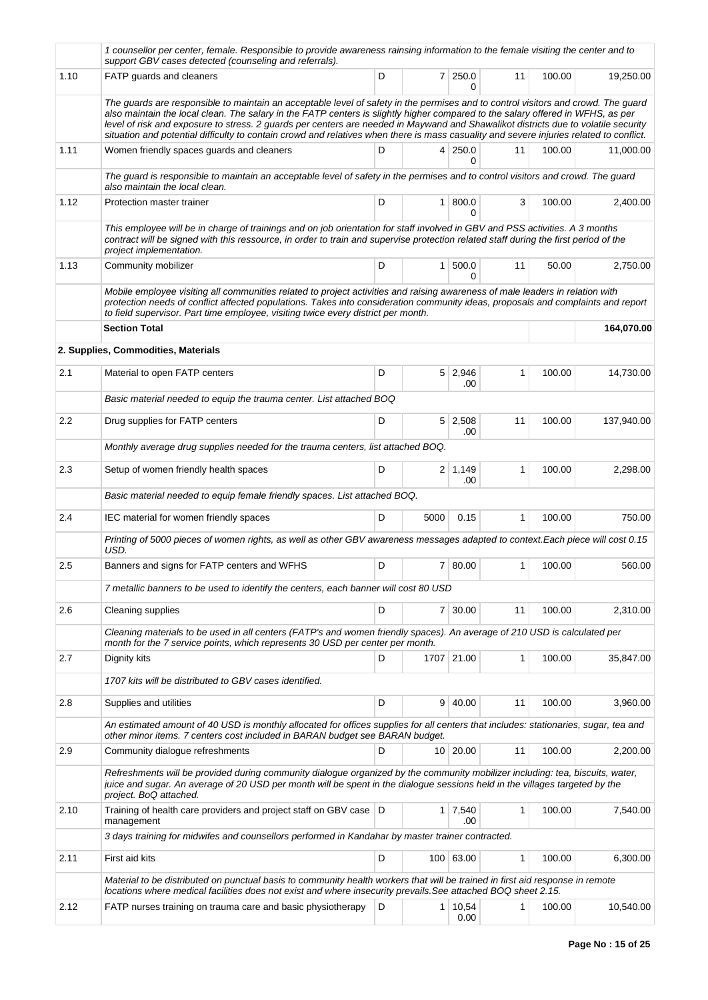|      | 1 counsellor per center, female. Responsible to provide awareness rainsing information to the female visiting the center and to<br>support GBV cases detected (counseling and referrals).                                                                                                                                                                                                                                                                                                                                                             |   |      |                       |              |        |            |
|------|-------------------------------------------------------------------------------------------------------------------------------------------------------------------------------------------------------------------------------------------------------------------------------------------------------------------------------------------------------------------------------------------------------------------------------------------------------------------------------------------------------------------------------------------------------|---|------|-----------------------|--------------|--------|------------|
| 1.10 | FATP guards and cleaners                                                                                                                                                                                                                                                                                                                                                                                                                                                                                                                              | D |      | 7 250.0<br>0          | 11           | 100.00 | 19,250.00  |
|      | The guards are responsible to maintain an acceptable level of safety in the permises and to control visitors and crowd. The guard<br>also maintain the local clean. The salary in the FATP centers is slightly higher compared to the salary offered in WFHS, as per<br>level of risk and exposure to stress. 2 guards per centers are needed in Maywand and Shawalikot districts due to volatile security<br>situation and potential difficulty to contain crowd and relatives when there is mass casuality and severe injuries related to conflict. |   |      |                       |              |        |            |
| 1.11 | Women friendly spaces guards and cleaners                                                                                                                                                                                                                                                                                                                                                                                                                                                                                                             | D |      | 4 250.0<br>0          | 11           | 100.00 | 11,000.00  |
|      | The guard is responsible to maintain an acceptable level of safety in the permises and to control visitors and crowd. The guard<br>also maintain the local clean.                                                                                                                                                                                                                                                                                                                                                                                     |   |      |                       |              |        |            |
| 1.12 | Protection master trainer                                                                                                                                                                                                                                                                                                                                                                                                                                                                                                                             | D |      | 1   800.0<br>$\Omega$ | 3            | 100.00 | 2,400.00   |
|      | This employee will be in charge of trainings and on job orientation for staff involved in GBV and PSS activities. A 3 months<br>contract will be signed with this ressource, in order to train and supervise protection related staff during the first period of the<br>project implementation.                                                                                                                                                                                                                                                       |   |      |                       |              |        |            |
| 1.13 | Community mobilizer                                                                                                                                                                                                                                                                                                                                                                                                                                                                                                                                   | D |      | 1   500.0<br>$\Omega$ | 11           | 50.00  | 2,750.00   |
|      | Mobile employee visiting all communities related to project activities and raising awareness of male leaders in relation with<br>protection needs of conflict affected populations. Takes into consideration community ideas, proposals and complaints and report<br>to field supervisor. Part time employee, visiting twice every district per month.                                                                                                                                                                                                |   |      |                       |              |        |            |
|      | <b>Section Total</b>                                                                                                                                                                                                                                                                                                                                                                                                                                                                                                                                  |   |      |                       |              |        | 164,070.00 |
|      | 2. Supplies, Commodities, Materials                                                                                                                                                                                                                                                                                                                                                                                                                                                                                                                   |   |      |                       |              |        |            |
| 2.1  | Material to open FATP centers                                                                                                                                                                                                                                                                                                                                                                                                                                                                                                                         | D |      | $5 \mid 2,946$<br>.00 | 1            | 100.00 | 14,730.00  |
|      | Basic material needed to equip the trauma center. List attached BOQ                                                                                                                                                                                                                                                                                                                                                                                                                                                                                   |   |      |                       |              |        |            |
| 2.2  | Drug supplies for FATP centers                                                                                                                                                                                                                                                                                                                                                                                                                                                                                                                        | D |      | $5 \mid 2,508$<br>.00 | 11           | 100.00 | 137,940.00 |
|      | Monthly average drug supplies needed for the trauma centers, list attached BOQ.                                                                                                                                                                                                                                                                                                                                                                                                                                                                       |   |      |                       |              |        |            |
| 2.3  | Setup of women friendly health spaces                                                                                                                                                                                                                                                                                                                                                                                                                                                                                                                 | D |      | $2 \mid 1,149$<br>.00 | 1            | 100.00 | 2,298.00   |
|      | Basic material needed to equip female friendly spaces. List attached BOQ.                                                                                                                                                                                                                                                                                                                                                                                                                                                                             |   |      |                       |              |        |            |
| 2.4  | IEC material for women friendly spaces                                                                                                                                                                                                                                                                                                                                                                                                                                                                                                                | D | 5000 | 0.15                  | $\mathbf{1}$ | 100.00 | 750.00     |
|      | Printing of 5000 pieces of women rights, as well as other GBV awareness messages adapted to context. Each piece will cost 0.15<br>USD.                                                                                                                                                                                                                                                                                                                                                                                                                |   |      |                       |              |        |            |
| 2.5  | Banners and signs for FATP centers and WFHS                                                                                                                                                                                                                                                                                                                                                                                                                                                                                                           | D |      | 7   80.00             | 1            | 100.00 | 560.00     |
|      | 7 metallic banners to be used to identify the centers, each banner will cost 80 USD                                                                                                                                                                                                                                                                                                                                                                                                                                                                   |   |      |                       |              |        |            |
| 2.6  | Cleaning supplies                                                                                                                                                                                                                                                                                                                                                                                                                                                                                                                                     | D |      | $7 \mid 30.00$        | 11           | 100.00 | 2,310.00   |
|      | Cleaning materials to be used in all centers (FATP's and women friendly spaces). An average of 210 USD is calculated per<br>month for the 7 service points, which represents 30 USD per center per month.                                                                                                                                                                                                                                                                                                                                             |   |      |                       |              |        |            |
| 2.7  | Dignity kits                                                                                                                                                                                                                                                                                                                                                                                                                                                                                                                                          | D |      | 1707 21.00            | 1            | 100.00 | 35,847.00  |
|      | 1707 kits will be distributed to GBV cases identified.                                                                                                                                                                                                                                                                                                                                                                                                                                                                                                |   |      |                       |              |        |            |
| 2.8  | Supplies and utilities                                                                                                                                                                                                                                                                                                                                                                                                                                                                                                                                | D |      | 9   40.00             | 11           | 100.00 | 3,960.00   |
|      | An estimated amount of 40 USD is monthly allocated for offices supplies for all centers that includes: stationaries, sugar, tea and<br>other minor items. 7 centers cost included in BARAN budget see BARAN budget.                                                                                                                                                                                                                                                                                                                                   |   |      |                       |              |        |            |
| 2.9  | Community dialogue refreshments                                                                                                                                                                                                                                                                                                                                                                                                                                                                                                                       | D |      | 10 20.00              | 11           | 100.00 | 2,200.00   |
|      | Refreshments will be provided during community dialogue organized by the community mobilizer including: tea, biscuits, water,<br>juice and sugar. An average of 20 USD per month will be spent in the dialogue sessions held in the villages targeted by the<br>project. BoQ attached.                                                                                                                                                                                                                                                                |   |      |                       |              |        |            |
| 2.10 | Training of health care providers and project staff on GBV case   D<br>management                                                                                                                                                                                                                                                                                                                                                                                                                                                                     |   |      | $1 \mid 7,540$<br>.00 | 1            | 100.00 | 7,540.00   |
|      | 3 days training for midwifes and counsellors performed in Kandahar by master trainer contracted.                                                                                                                                                                                                                                                                                                                                                                                                                                                      |   |      |                       |              |        |            |
| 2.11 | First aid kits                                                                                                                                                                                                                                                                                                                                                                                                                                                                                                                                        | D |      | 100 63.00             | $\mathbf{1}$ | 100.00 | 6,300.00   |
|      | Material to be distributed on punctual basis to community health workers that will be trained in first aid response in remote<br>locations where medical facilities does not exist and where insecurity prevails. See attached BOQ sheet 2.15.                                                                                                                                                                                                                                                                                                        |   |      |                       |              |        |            |
| 2.12 | FATP nurses training on trauma care and basic physiotherapy                                                                                                                                                                                                                                                                                                                                                                                                                                                                                           | D |      | 1 10,54<br>0.00       | 1            | 100.00 | 10,540.00  |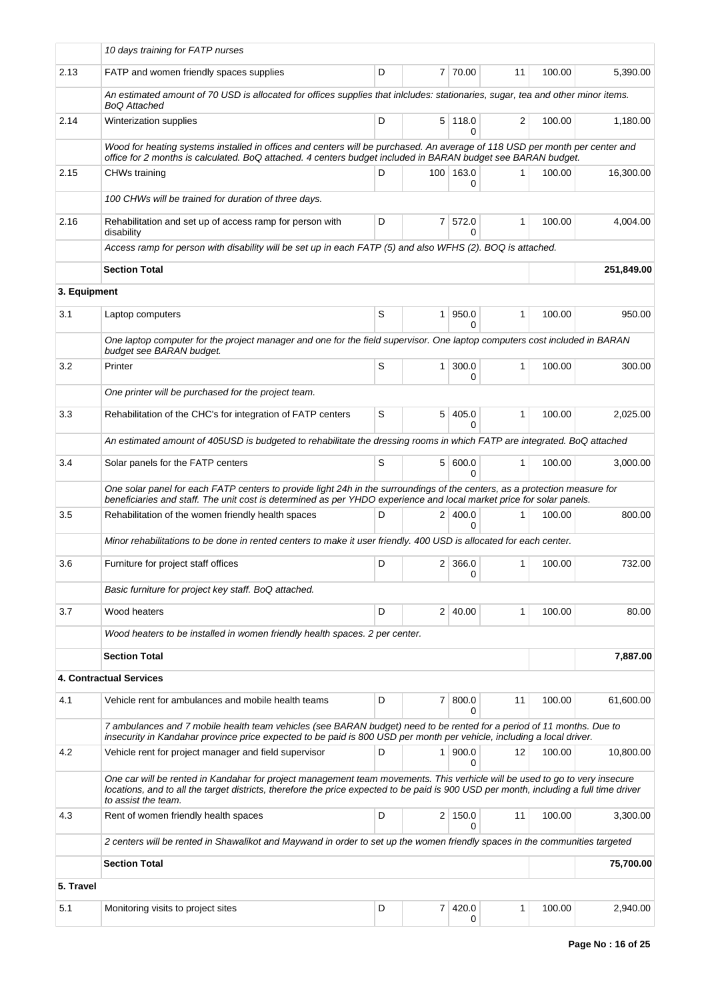|              | 10 days training for FATP nurses                                                                                                                                                                                                                                                             |   |                |                            |    |        |            |
|--------------|----------------------------------------------------------------------------------------------------------------------------------------------------------------------------------------------------------------------------------------------------------------------------------------------|---|----------------|----------------------------|----|--------|------------|
| 2.13         | FATP and women friendly spaces supplies                                                                                                                                                                                                                                                      | D |                | 7 70.00                    | 11 | 100.00 | 5,390.00   |
|              | An estimated amount of 70 USD is allocated for offices supplies that inlcludes: stationaries, sugar, tea and other minor items.<br><b>BoQ Attached</b>                                                                                                                                       |   |                |                            |    |        |            |
| 2.14         | Winterization supplies                                                                                                                                                                                                                                                                       | D |                | $5 \mid 118.0$<br>0        | 2  | 100.00 | 1,180.00   |
|              | Wood for heating systems installed in offices and centers will be purchased. An average of 118 USD per month per center and<br>office for 2 months is calculated. BoQ attached. 4 centers budget included in BARAN budget see BARAN budget.                                                  |   |                |                            |    |        |            |
| 2.15         | <b>CHWs training</b>                                                                                                                                                                                                                                                                         | D |                | 100 163.0<br>0             | 1  | 100.00 | 16,300.00  |
|              | 100 CHWs will be trained for duration of three days.                                                                                                                                                                                                                                         |   |                |                            |    |        |            |
| 2.16         | Rehabilitation and set up of access ramp for person with<br>disability                                                                                                                                                                                                                       | D |                | 7 572.0<br>0               | 1  | 100.00 | 4,004.00   |
|              | Access ramp for person with disability will be set up in each FATP (5) and also WFHS (2). BOQ is attached.                                                                                                                                                                                   |   |                |                            |    |        |            |
|              | <b>Section Total</b>                                                                                                                                                                                                                                                                         |   |                |                            |    |        | 251,849.00 |
| 3. Equipment |                                                                                                                                                                                                                                                                                              |   |                |                            |    |        |            |
| 3.1          | Laptop computers                                                                                                                                                                                                                                                                             | S | $\mathbf{1}$   | 950.0<br><sup>0</sup>      | 1  | 100.00 | 950.00     |
|              | One laptop computer for the project manager and one for the field supervisor. One laptop computers cost included in BARAN<br>budget see BARAN budget.                                                                                                                                        |   |                |                            |    |        |            |
| 3.2          | Printer                                                                                                                                                                                                                                                                                      | S | $\mathbf{1}$   | 300.0<br>0                 | 1  | 100.00 | 300.00     |
|              | One printer will be purchased for the project team.                                                                                                                                                                                                                                          |   |                |                            |    |        |            |
| 3.3          | Rehabilitation of the CHC's for integration of FATP centers                                                                                                                                                                                                                                  | S | 5 <sup>1</sup> | 405.0<br>0                 | 1  | 100.00 | 2,025.00   |
|              | An estimated amount of 405USD is budgeted to rehabilitate the dressing rooms in which FATP are integrated. BoQ attached                                                                                                                                                                      |   |                |                            |    |        |            |
| 3.4          | Solar panels for the FATP centers                                                                                                                                                                                                                                                            | S |                | 5   600.0<br>0             | 1  | 100.00 | 3,000.00   |
|              | One solar panel for each FATP centers to provide light 24h in the surroundings of the centers, as a protection measure for<br>beneficiaries and staff. The unit cost is determined as per YHDO experience and local market price for solar panels.                                           |   |                |                            |    |        |            |
| 3.5          | Rehabilitation of the women friendly health spaces                                                                                                                                                                                                                                           | D |                | 2 400.0<br>$\Omega$        | 1  | 100.00 | 800.00     |
|              | Minor rehabilitations to be done in rented centers to make it user friendly. 400 USD is allocated for each center.                                                                                                                                                                           |   |                |                            |    |        |            |
| 3.6          | Furniture for project staff offices                                                                                                                                                                                                                                                          | D |                | $2 \mid 366.0$<br>$\Omega$ | 1  | 100.00 | 732.00     |
|              | Basic furniture for project key staff. BoQ attached.                                                                                                                                                                                                                                         |   |                |                            |    |        |            |
| 3.7          | Wood heaters                                                                                                                                                                                                                                                                                 | D |                | 2 40.00                    | 1  | 100.00 | 80.00      |
|              | Wood heaters to be installed in women friendly health spaces. 2 per center.                                                                                                                                                                                                                  |   |                |                            |    |        |            |
|              | <b>Section Total</b>                                                                                                                                                                                                                                                                         |   |                |                            |    |        | 7,887.00   |
|              | 4. Contractual Services                                                                                                                                                                                                                                                                      |   |                |                            |    |        |            |
| 4.1          | Vehicle rent for ambulances and mobile health teams                                                                                                                                                                                                                                          | D | $\mathbf{7}$   | 800.0<br>0                 | 11 | 100.00 | 61,600.00  |
|              | 7 ambulances and 7 mobile health team vehicles (see BARAN budget) need to be rented for a period of 11 months. Due to<br>insecurity in Kandahar province price expected to be paid is 800 USD per month per vehicle, including a local driver.                                               |   |                |                            |    |        |            |
| 4.2          | Vehicle rent for project manager and field supervisor                                                                                                                                                                                                                                        | D | 1              | 900.0<br>0                 | 12 | 100.00 | 10,800.00  |
|              | One car will be rented in Kandahar for project management team movements. This verhicle will be used to go to very insecure<br>locations, and to all the target districts, therefore the price expected to be paid is 900 USD per month, including a full time driver<br>to assist the team. |   |                |                            |    |        |            |
| 4.3          | Rent of women friendly health spaces                                                                                                                                                                                                                                                         | D |                | 2 150.0<br>0               | 11 | 100.00 | 3,300.00   |
|              | 2 centers will be rented in Shawalikot and Maywand in order to set up the women friendly spaces in the communities targeted                                                                                                                                                                  |   |                |                            |    |        |            |
|              | <b>Section Total</b>                                                                                                                                                                                                                                                                         |   |                |                            |    |        | 75,700.00  |
| 5. Travel    |                                                                                                                                                                                                                                                                                              |   |                |                            |    |        |            |
| 5.1          | Monitoring visits to project sites                                                                                                                                                                                                                                                           | D | 7              | 420.0<br>0                 | 1  | 100.00 | 2,940.00   |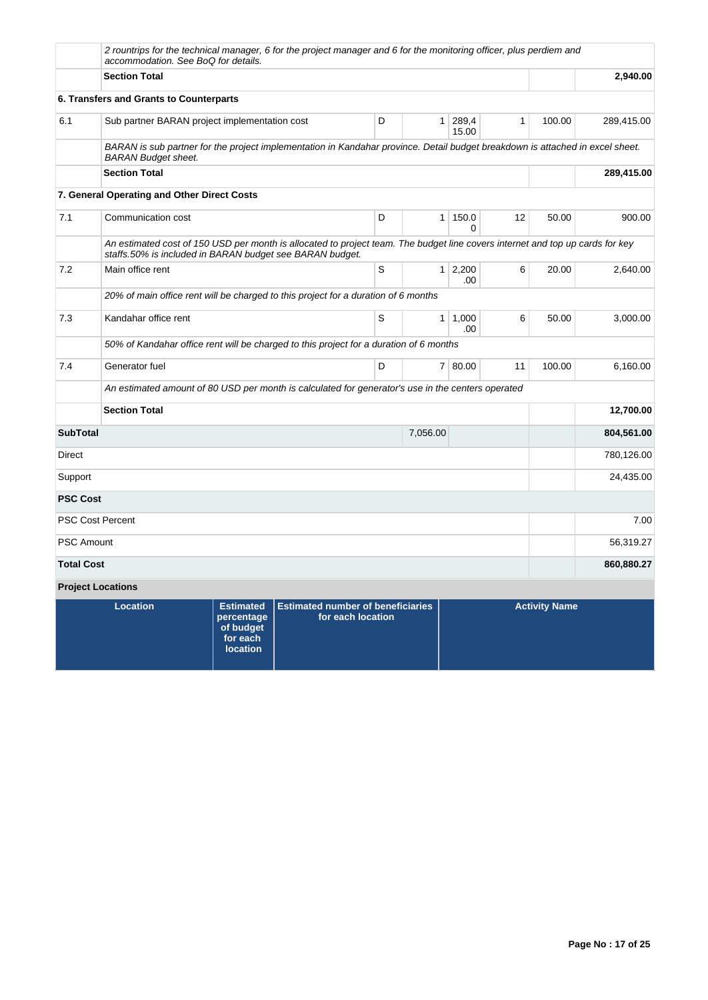|                   | accommodation. See BoQ for details.           |                                                                            | 2 rountrips for the technical manager, 6 for the project manager and 6 for the monitoring officer, plus perdiem and                                                                       |   |                |                        |    |                      |            |
|-------------------|-----------------------------------------------|----------------------------------------------------------------------------|-------------------------------------------------------------------------------------------------------------------------------------------------------------------------------------------|---|----------------|------------------------|----|----------------------|------------|
|                   | <b>Section Total</b>                          |                                                                            |                                                                                                                                                                                           |   |                |                        |    |                      | 2,940.00   |
|                   | 6. Transfers and Grants to Counterparts       |                                                                            |                                                                                                                                                                                           |   |                |                        |    |                      |            |
| 6.1               | Sub partner BARAN project implementation cost |                                                                            |                                                                                                                                                                                           | D |                | 1 289,4<br>15.00       | 1  | 100.00               | 289,415.00 |
|                   | <b>BARAN Budget sheet.</b>                    |                                                                            | BARAN is sub partner for the project implementation in Kandahar province. Detail budget breakdown is attached in excel sheet.                                                             |   |                |                        |    |                      |            |
|                   | <b>Section Total</b>                          |                                                                            |                                                                                                                                                                                           |   |                |                        |    |                      | 289,415.00 |
|                   | 7. General Operating and Other Direct Costs   |                                                                            |                                                                                                                                                                                           |   |                |                        |    |                      |            |
| 7.1               | Communication cost                            |                                                                            |                                                                                                                                                                                           | D |                | 1 150.0<br>$\Omega$    | 12 | 50.00                | 900.00     |
|                   |                                               |                                                                            | An estimated cost of 150 USD per month is allocated to project team. The budget line covers internet and top up cards for key<br>staffs.50% is included in BARAN budget see BARAN budget. |   |                |                        |    |                      |            |
| 7.2               | Main office rent                              |                                                                            |                                                                                                                                                                                           | S |                | $1 \quad 2,200$<br>.00 | 6  | 20.00                | 2,640.00   |
|                   |                                               |                                                                            | 20% of main office rent will be charged to this project for a duration of 6 months                                                                                                        |   |                |                        |    |                      |            |
| 7.3               | Kandahar office rent                          |                                                                            |                                                                                                                                                                                           | S | 1 <sup>1</sup> | 1,000<br>.00           | 6  | 50.00                | 3,000.00   |
|                   |                                               |                                                                            | 50% of Kandahar office rent will be charged to this project for a duration of 6 months                                                                                                    |   |                |                        |    |                      |            |
| 7.4               | Generator fuel                                |                                                                            |                                                                                                                                                                                           | D |                | 7 80.00                | 11 | 100.00               | 6,160.00   |
|                   |                                               |                                                                            | An estimated amount of 80 USD per month is calculated for generator's use in the centers operated                                                                                         |   |                |                        |    |                      |            |
|                   | <b>Section Total</b>                          |                                                                            |                                                                                                                                                                                           |   |                |                        |    |                      | 12,700.00  |
| <b>SubTotal</b>   |                                               |                                                                            |                                                                                                                                                                                           |   | 7,056.00       |                        |    |                      | 804,561.00 |
| Direct            |                                               |                                                                            |                                                                                                                                                                                           |   |                |                        |    |                      | 780,126.00 |
| Support           |                                               |                                                                            |                                                                                                                                                                                           |   |                |                        |    |                      | 24,435.00  |
| <b>PSC Cost</b>   |                                               |                                                                            |                                                                                                                                                                                           |   |                |                        |    |                      |            |
|                   | <b>PSC Cost Percent</b>                       |                                                                            |                                                                                                                                                                                           |   |                |                        |    |                      | 7.00       |
| <b>PSC Amount</b> |                                               |                                                                            |                                                                                                                                                                                           |   |                |                        |    |                      | 56,319.27  |
| <b>Total Cost</b> |                                               |                                                                            |                                                                                                                                                                                           |   |                |                        |    |                      | 860,880.27 |
|                   | <b>Project Locations</b>                      |                                                                            |                                                                                                                                                                                           |   |                |                        |    |                      |            |
|                   | <b>Location</b>                               | <b>Estimated</b><br>percentage<br>of budget<br>for each<br><b>location</b> | <b>Estimated number of beneficiaries</b><br>for each location                                                                                                                             |   |                |                        |    | <b>Activity Name</b> |            |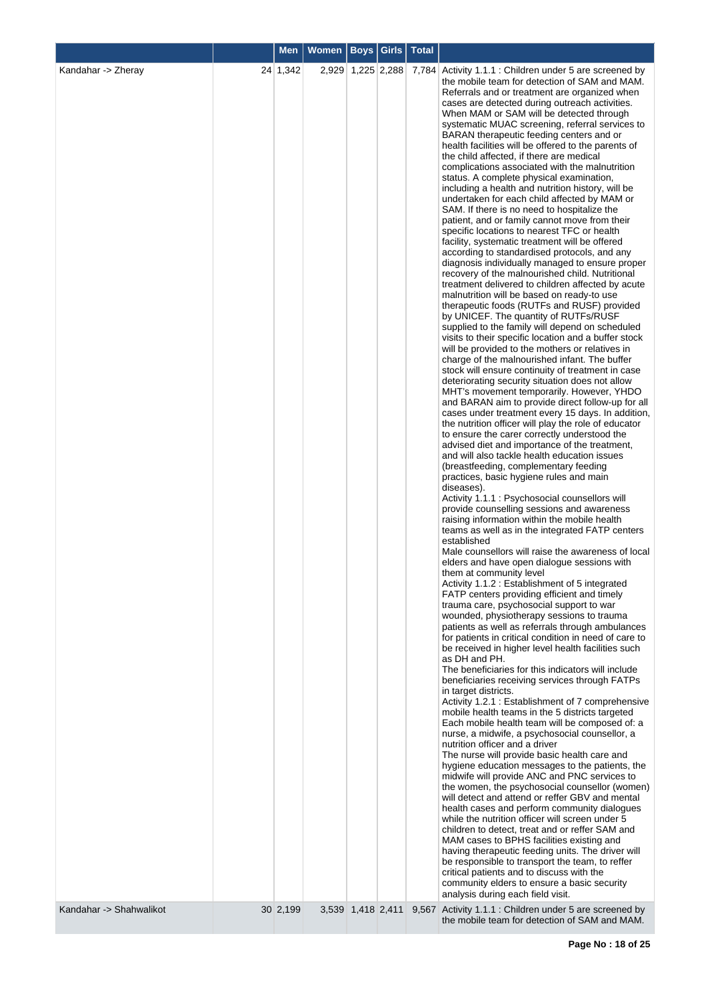| $24 \mid 1,342$<br>Kandahar -> Zheray<br>2,929 1,225 2,288<br>7,784 Activity 1.1.1 : Children under 5 are screened by<br>the mobile team for detection of SAM and MAM.<br>Referrals and or treatment are organized when<br>cases are detected during outreach activities.<br>When MAM or SAM will be detected through<br>systematic MUAC screening, referral services to<br>BARAN therapeutic feeding centers and or<br>health facilities will be offered to the parents of<br>the child affected, if there are medical<br>complications associated with the malnutrition<br>status. A complete physical examination,<br>including a health and nutrition history, will be<br>undertaken for each child affected by MAM or<br>SAM. If there is no need to hospitalize the<br>patient, and or family cannot move from their<br>specific locations to nearest TFC or health<br>facility, systematic treatment will be offered<br>according to standardised protocols, and any<br>diagnosis individually managed to ensure proper<br>recovery of the malnourished child. Nutritional<br>treatment delivered to children affected by acute<br>malnutrition will be based on ready-to use<br>therapeutic foods (RUTFs and RUSF) provided<br>by UNICEF. The quantity of RUTFs/RUSF<br>supplied to the family will depend on scheduled<br>visits to their specific location and a buffer stock<br>will be provided to the mothers or relatives in<br>charge of the malnourished infant. The buffer<br>stock will ensure continuity of treatment in case<br>deteriorating security situation does not allow<br>MHT's movement temporarily. However, YHDO<br>and BARAN aim to provide direct follow-up for all<br>cases under treatment every 15 days. In addition,<br>the nutrition officer will play the role of educator<br>to ensure the carer correctly understood the<br>advised diet and importance of the treatment,<br>and will also tackle health education issues<br>(breastfeeding, complementary feeding<br>practices, basic hygiene rules and main<br>diseases).<br>Activity 1.1.1 : Psychosocial counsellors will<br>provide counselling sessions and awareness<br>raising information within the mobile health<br>teams as well as in the integrated FATP centers<br>established<br>Male counsellors will raise the awareness of local<br>elders and have open dialogue sessions with<br>them at community level<br>Activity 1.1.2: Establishment of 5 integrated<br>FATP centers providing efficient and timely<br>trauma care, psychosocial support to war<br>wounded, physiotherapy sessions to trauma<br>patients as well as referrals through ambulances<br>for patients in critical condition in need of care to<br>be received in higher level health facilities such<br>as DH and PH.<br>The beneficiaries for this indicators will include<br>beneficiaries receiving services through FATPs<br>in target districts.<br>Activity 1.2.1: Establishment of 7 comprehensive<br>mobile health teams in the 5 districts targeted<br>Each mobile health team will be composed of: a<br>nurse, a midwife, a psychosocial counsellor, a<br>nutrition officer and a driver<br>The nurse will provide basic health care and<br>hygiene education messages to the patients, the<br>midwife will provide ANC and PNC services to<br>the women, the psychosocial counsellor (women)<br>will detect and attend or reffer GBV and mental<br>health cases and perform community dialogues |  |
|-------------------------------------------------------------------------------------------------------------------------------------------------------------------------------------------------------------------------------------------------------------------------------------------------------------------------------------------------------------------------------------------------------------------------------------------------------------------------------------------------------------------------------------------------------------------------------------------------------------------------------------------------------------------------------------------------------------------------------------------------------------------------------------------------------------------------------------------------------------------------------------------------------------------------------------------------------------------------------------------------------------------------------------------------------------------------------------------------------------------------------------------------------------------------------------------------------------------------------------------------------------------------------------------------------------------------------------------------------------------------------------------------------------------------------------------------------------------------------------------------------------------------------------------------------------------------------------------------------------------------------------------------------------------------------------------------------------------------------------------------------------------------------------------------------------------------------------------------------------------------------------------------------------------------------------------------------------------------------------------------------------------------------------------------------------------------------------------------------------------------------------------------------------------------------------------------------------------------------------------------------------------------------------------------------------------------------------------------------------------------------------------------------------------------------------------------------------------------------------------------------------------------------------------------------------------------------------------------------------------------------------------------------------------------------------------------------------------------------------------------------------------------------------------------------------------------------------------------------------------------------------------------------------------------------------------------------------------------------------------------------------------------------------------------------------------------------------------------------------------------------------------------------------------------------------------------------------------------------------------------------------------------------------------------------------------------------------------------------------------------------------------------------------------------------------------------------------------------------------------|--|
| while the nutrition officer will screen under 5<br>children to detect, treat and or reffer SAM and<br>MAM cases to BPHS facilities existing and<br>having therapeutic feeding units. The driver will<br>be responsible to transport the team, to reffer<br>critical patients and to discuss with the<br>community elders to ensure a basic security<br>analysis during each field visit.<br>Kandahar -> Shahwalikot<br>30 2,199<br>3,539 1,418 2,411<br>9,567 Activity 1.1.1 : Children under 5 are screened by<br>the mobile team for detection of SAM and MAM.                                                                                                                                                                                                                                                                                                                                                                                                                                                                                                                                                                                                                                                                                                                                                                                                                                                                                                                                                                                                                                                                                                                                                                                                                                                                                                                                                                                                                                                                                                                                                                                                                                                                                                                                                                                                                                                                                                                                                                                                                                                                                                                                                                                                                                                                                                                                                                                                                                                                                                                                                                                                                                                                                                                                                                                                                                                                                                                          |  |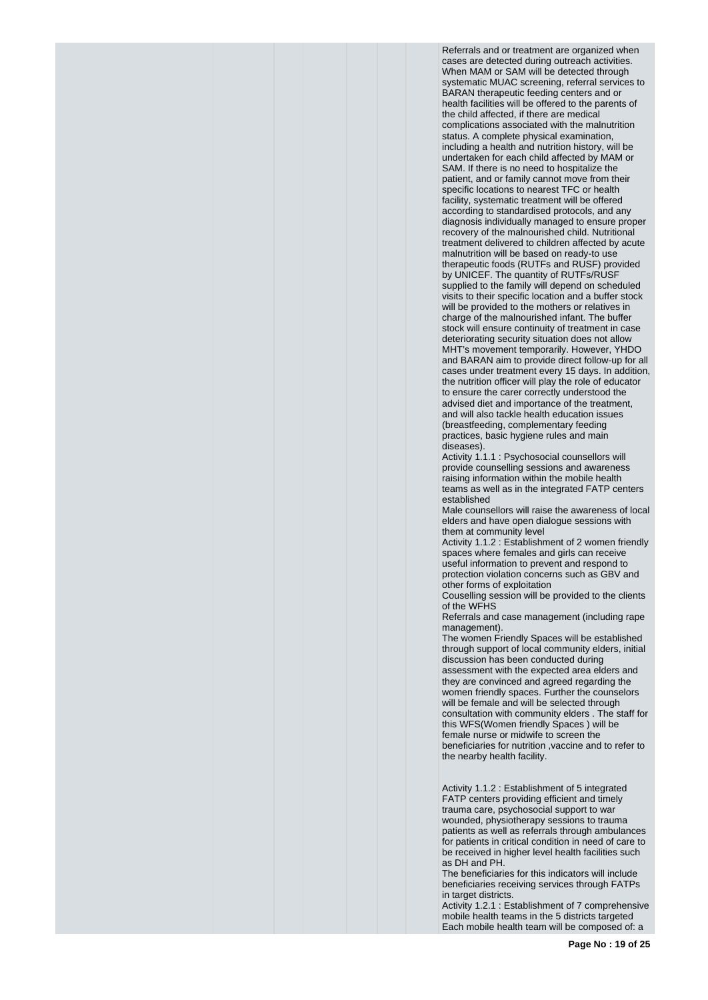Referrals and or treatment are organized when cases are detected during outreach activities. When MAM or SAM will be detected through systematic MUAC screening, referral services to BARAN therapeutic feeding centers and or health facilities will be offered to the parents of the child affected, if there are medical complications associated with the malnutrition status. A complete physical examination, including a health and nutrition history, will be undertaken for each child affected by MAM or SAM. If there is no need to hospitalize the patient, and or family cannot move from their specific locations to nearest TFC or health facility, systematic treatment will be offered according to standardised protocols, and any diagnosis individually managed to ensure proper recovery of the malnourished child. Nutritional treatment delivered to children affected by acute malnutrition will be based on ready-to use therapeutic foods (RUTFs and RUSF) provided by UNICEF. The quantity of RUTFs/RUSF supplied to the family will depend on scheduled visits to their specific location and a buffer stock will be provided to the mothers or relatives in charge of the malnourished infant. The buffer stock will ensure continuity of treatment in case deteriorating security situation does not allow MHT's movement temporarily. However, YHDO and BARAN aim to provide direct follow-up for all cases under treatment every 15 days. In addition, the nutrition officer will play the role of educator to ensure the carer correctly understood the advised diet and importance of the treatment, and will also tackle health education issues (breastfeeding, complementary feeding practices, basic hygiene rules and main diseases).

Activity 1.1.1 : Psychosocial counsellors will provide counselling sessions and awareness raising information within the mobile health teams as well as in the integrated FATP centers established

Male counsellors will raise the awareness of local elders and have open dialogue sessions with them at community level

Activity 1.1.2 : Establishment of 2 women friendly spaces where females and girls can receive useful information to prevent and respond to protection violation concerns such as GBV and other forms of exploitation

Couselling session will be provided to the clients of the WFHS

Referrals and case management (including rape management).

The women Friendly Spaces will be established through support of local community elders, initial discussion has been conducted during assessment with the expected area elders and they are convinced and agreed regarding the women friendly spaces. Further the counselors will be female and will be selected through consultation with community elders . The staff for this WFS(Women friendly Spaces ) will be female nurse or midwife to screen the beneficiaries for nutrition ,vaccine and to refer to the nearby health facility.

Activity 1.1.2 : Establishment of 5 integrated FATP centers providing efficient and timely trauma care, psychosocial support to war wounded, physiotherapy sessions to trauma patients as well as referrals through ambulances for patients in critical condition in need of care to be received in higher level health facilities such as DH and PH.

The beneficiaries for this indicators will include beneficiaries receiving services through FATPs in target districts.

Activity 1.2.1 : Establishment of 7 comprehensive mobile health teams in the 5 districts targeted Each mobile health team will be composed of: a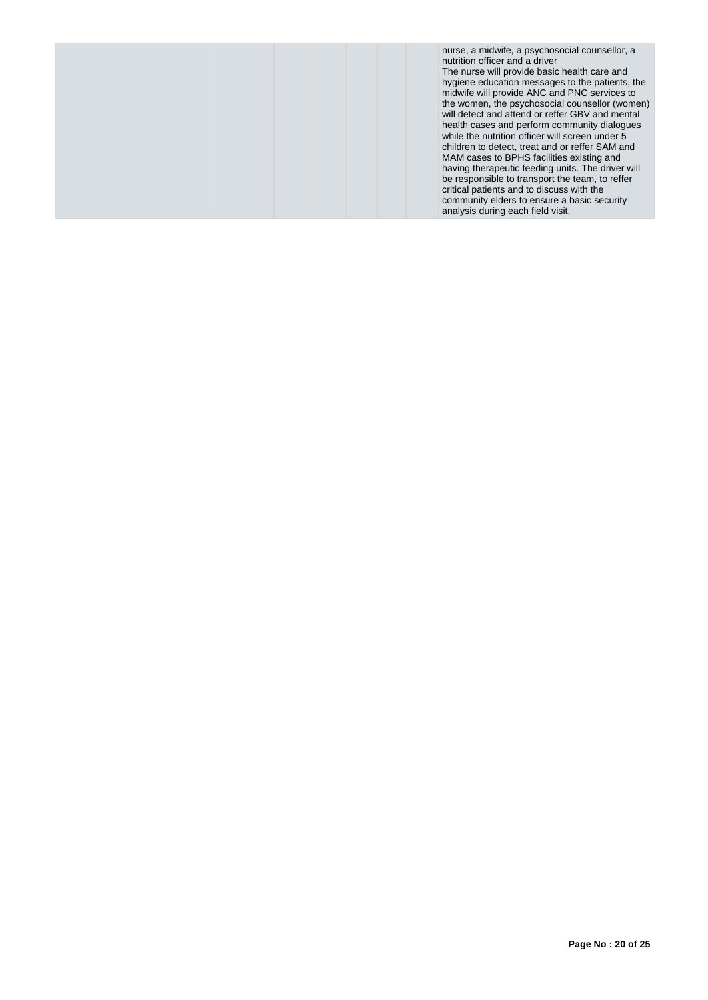|  | nurse, a midwife, a psychosocial counsellor, a<br>nutrition officer and a driver<br>The nurse will provide basic health care and<br>hygiene education messages to the patients, the<br>midwife will provide ANC and PNC services to<br>the women, the psychosocial counsellor (women)<br>will detect and attend or reffer GBV and mental<br>health cases and perform community dialogues<br>while the nutrition officer will screen under 5<br>children to detect, treat and or reffer SAM and<br>MAM cases to BPHS facilities existing and<br>having therapeutic feeding units. The driver will<br>be responsible to transport the team, to reffer<br>critical patients and to discuss with the<br>community elders to ensure a basic security<br>analysis during each field visit. |
|--|--------------------------------------------------------------------------------------------------------------------------------------------------------------------------------------------------------------------------------------------------------------------------------------------------------------------------------------------------------------------------------------------------------------------------------------------------------------------------------------------------------------------------------------------------------------------------------------------------------------------------------------------------------------------------------------------------------------------------------------------------------------------------------------|
|--|--------------------------------------------------------------------------------------------------------------------------------------------------------------------------------------------------------------------------------------------------------------------------------------------------------------------------------------------------------------------------------------------------------------------------------------------------------------------------------------------------------------------------------------------------------------------------------------------------------------------------------------------------------------------------------------------------------------------------------------------------------------------------------------|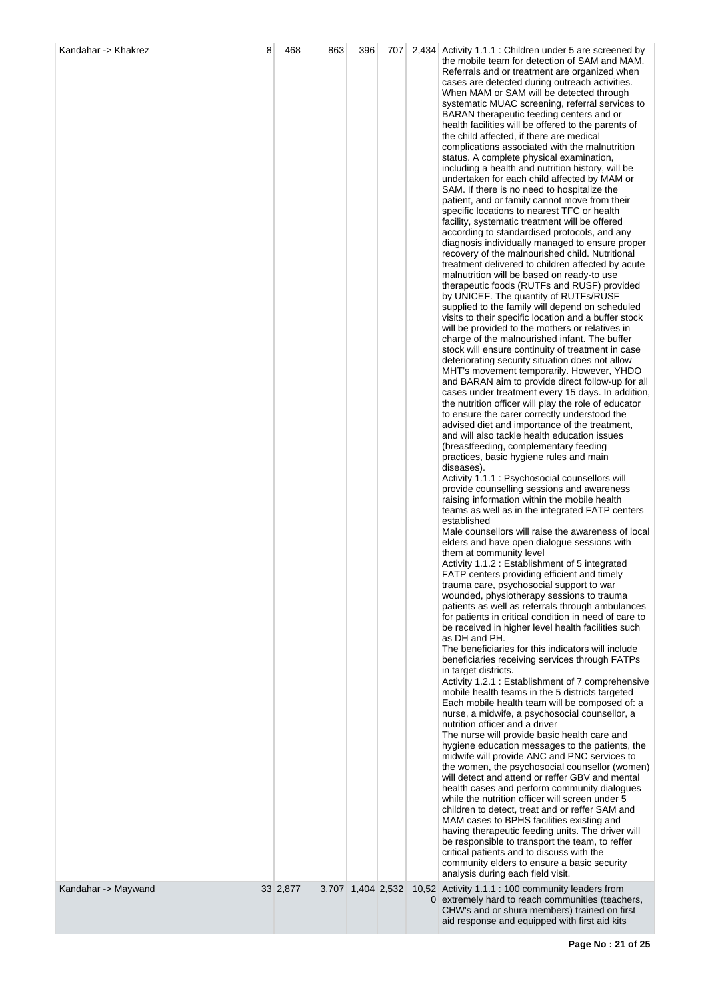| Kandahar -> Khakrez | 8 | 468      | 863 | 396               | 707 | 2,434 Activity 1.1.1 : Children under 5 are screened by<br>the mobile team for detection of SAM and MAM.<br>Referrals and or treatment are organized when<br>cases are detected during outreach activities.<br>When MAM or SAM will be detected through<br>systematic MUAC screening, referral services to<br>BARAN therapeutic feeding centers and or<br>health facilities will be offered to the parents of<br>the child affected, if there are medical<br>complications associated with the malnutrition<br>status. A complete physical examination,<br>including a health and nutrition history, will be<br>undertaken for each child affected by MAM or<br>SAM. If there is no need to hospitalize the<br>patient, and or family cannot move from their<br>specific locations to nearest TFC or health<br>facility, systematic treatment will be offered<br>according to standardised protocols, and any<br>diagnosis individually managed to ensure proper<br>recovery of the malnourished child. Nutritional<br>treatment delivered to children affected by acute<br>malnutrition will be based on ready-to use<br>therapeutic foods (RUTFs and RUSF) provided<br>by UNICEF. The quantity of RUTFs/RUSF<br>supplied to the family will depend on scheduled<br>visits to their specific location and a buffer stock<br>will be provided to the mothers or relatives in<br>charge of the malnourished infant. The buffer<br>stock will ensure continuity of treatment in case<br>deteriorating security situation does not allow<br>MHT's movement temporarily. However, YHDO<br>and BARAN aim to provide direct follow-up for all<br>cases under treatment every 15 days. In addition,<br>the nutrition officer will play the role of educator<br>to ensure the carer correctly understood the<br>advised diet and importance of the treatment,<br>and will also tackle health education issues<br>(breastfeeding, complementary feeding<br>practices, basic hygiene rules and main<br>diseases).<br>Activity 1.1.1 : Psychosocial counsellors will<br>provide counselling sessions and awareness<br>raising information within the mobile health<br>teams as well as in the integrated FATP centers<br>established<br>Male counsellors will raise the awareness of local<br>elders and have open dialogue sessions with<br>them at community level<br>Activity 1.1.2: Establishment of 5 integrated<br>FATP centers providing efficient and timely<br>trauma care, psychosocial support to war<br>wounded, physiotherapy sessions to trauma<br>patients as well as referrals through ambulances<br>for patients in critical condition in need of care to<br>be received in higher level health facilities such<br>as DH and PH.<br>The beneficiaries for this indicators will include<br>beneficiaries receiving services through FATPs<br>in target districts.<br>Activity 1.2.1 : Establishment of 7 comprehensive<br>mobile health teams in the 5 districts targeted<br>Each mobile health team will be composed of: a<br>nurse, a midwife, a psychosocial counsellor, a<br>nutrition officer and a driver<br>The nurse will provide basic health care and<br>hygiene education messages to the patients, the<br>midwife will provide ANC and PNC services to<br>the women, the psychosocial counsellor (women)<br>will detect and attend or reffer GBV and mental<br>health cases and perform community dialogues<br>while the nutrition officer will screen under 5<br>children to detect, treat and or reffer SAM and<br>MAM cases to BPHS facilities existing and<br>having therapeutic feeding units. The driver will<br>be responsible to transport the team, to reffer<br>critical patients and to discuss with the<br>community elders to ensure a basic security<br>analysis during each field visit. |
|---------------------|---|----------|-----|-------------------|-----|--------------------------------------------------------------------------------------------------------------------------------------------------------------------------------------------------------------------------------------------------------------------------------------------------------------------------------------------------------------------------------------------------------------------------------------------------------------------------------------------------------------------------------------------------------------------------------------------------------------------------------------------------------------------------------------------------------------------------------------------------------------------------------------------------------------------------------------------------------------------------------------------------------------------------------------------------------------------------------------------------------------------------------------------------------------------------------------------------------------------------------------------------------------------------------------------------------------------------------------------------------------------------------------------------------------------------------------------------------------------------------------------------------------------------------------------------------------------------------------------------------------------------------------------------------------------------------------------------------------------------------------------------------------------------------------------------------------------------------------------------------------------------------------------------------------------------------------------------------------------------------------------------------------------------------------------------------------------------------------------------------------------------------------------------------------------------------------------------------------------------------------------------------------------------------------------------------------------------------------------------------------------------------------------------------------------------------------------------------------------------------------------------------------------------------------------------------------------------------------------------------------------------------------------------------------------------------------------------------------------------------------------------------------------------------------------------------------------------------------------------------------------------------------------------------------------------------------------------------------------------------------------------------------------------------------------------------------------------------------------------------------------------------------------------------------------------------------------------------------------------------------------------------------------------------------------------------------------------------------------------------------------------------------------------------------------------------------------------------------------------------------------------------------------------------------------------------------------------------------------------------------------------------------------------------------------------------------------------------------------------------------------------------------------------------------------------------------------------------------------------------------------------------------------------------------------------|
| Kandahar -> Maywand |   | 33 2,877 |     | 3,707 1,404 2,532 |     | 10,52 Activity 1.1.1 : 100 community leaders from<br>0 extremely hard to reach communities (teachers,<br>CHW's and or shura members) trained on first<br>aid response and equipped with first aid kits                                                                                                                                                                                                                                                                                                                                                                                                                                                                                                                                                                                                                                                                                                                                                                                                                                                                                                                                                                                                                                                                                                                                                                                                                                                                                                                                                                                                                                                                                                                                                                                                                                                                                                                                                                                                                                                                                                                                                                                                                                                                                                                                                                                                                                                                                                                                                                                                                                                                                                                                                                                                                                                                                                                                                                                                                                                                                                                                                                                                                                                                                                                                                                                                                                                                                                                                                                                                                                                                                                                                                                                                                   |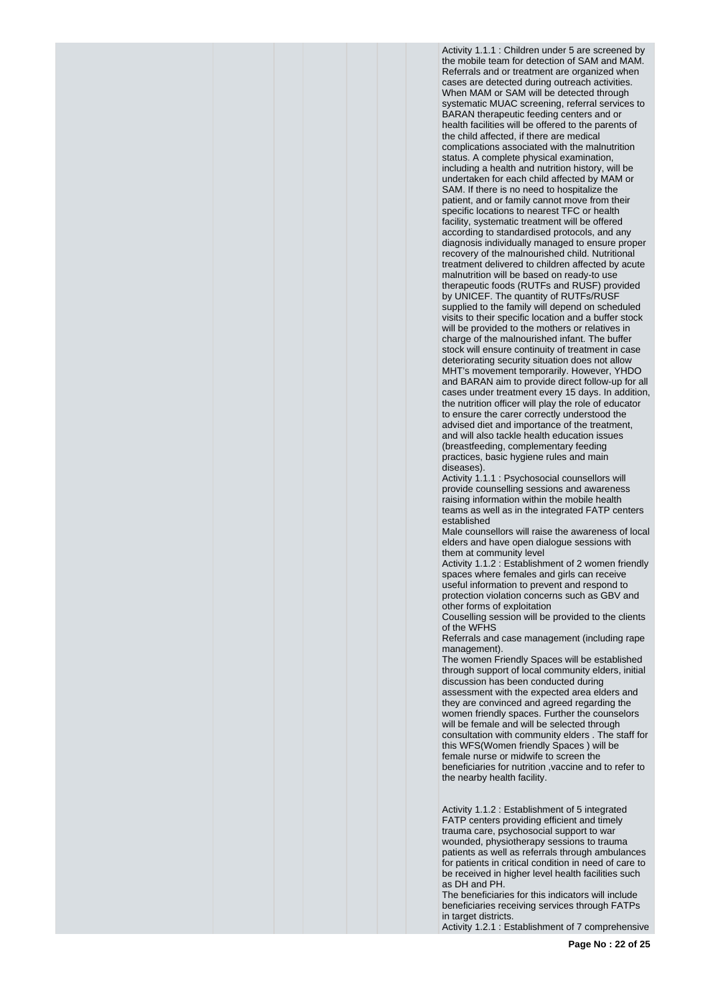Activity 1.1.1 : Children under 5 are screened by the mobile team for detection of SAM and MAM. Referrals and or treatment are organized when cases are detected during outreach activities. When MAM or SAM will be detected through systematic MUAC screening, referral services to BARAN therapeutic feeding centers and or health facilities will be offered to the parents of the child affected, if there are medical complications associated with the malnutrition status. A complete physical examination, including a health and nutrition history, will be undertaken for each child affected by MAM or SAM. If there is no need to hospitalize the patient, and or family cannot move from their specific locations to nearest TFC or health facility, systematic treatment will be offered according to standardised protocols, and any diagnosis individually managed to ensure proper recovery of the malnourished child. Nutritional treatment delivered to children affected by acute malnutrition will be based on ready-to use therapeutic foods (RUTFs and RUSF) provided by UNICEF. The quantity of RUTFs/RUSF supplied to the family will depend on scheduled visits to their specific location and a buffer stock will be provided to the mothers or relatives in charge of the malnourished infant. The buffer stock will ensure continuity of treatment in case deteriorating security situation does not allow MHT's movement temporarily. However, YHDO and BARAN aim to provide direct follow-up for all cases under treatment every 15 days. In addition, the nutrition officer will play the role of educator to ensure the carer correctly understood the advised diet and importance of the treatment, and will also tackle health education issues (breastfeeding, complementary feeding practices, basic hygiene rules and main diseases).

Activity 1.1.1 : Psychosocial counsellors will provide counselling sessions and awareness raising information within the mobile health teams as well as in the integrated FATP centers established

Male counsellors will raise the awareness of local elders and have open dialogue sessions with them at community level

Activity 1.1.2 : Establishment of 2 women friendly spaces where females and girls can receive useful information to prevent and respond to protection violation concerns such as GBV and other forms of exploitation

Couselling session will be provided to the clients of the WFHS

Referrals and case management (including rape management).

The women Friendly Spaces will be established through support of local community elders, initial discussion has been conducted during assessment with the expected area elders and they are convinced and agreed regarding the women friendly spaces. Further the counselors will be female and will be selected through consultation with community elders . The staff for this WFS(Women friendly Spaces ) will be female nurse or midwife to screen the beneficiaries for nutrition ,vaccine and to refer to the nearby health facility.

Activity 1.1.2 : Establishment of 5 integrated FATP centers providing efficient and timely trauma care, psychosocial support to war wounded, physiotherapy sessions to trauma patients as well as referrals through ambulances for patients in critical condition in need of care to be received in higher level health facilities such as DH and PH.

The beneficiaries for this indicators will include beneficiaries receiving services through FATPs in target districts.

Activity 1.2.1 : Establishment of 7 comprehensive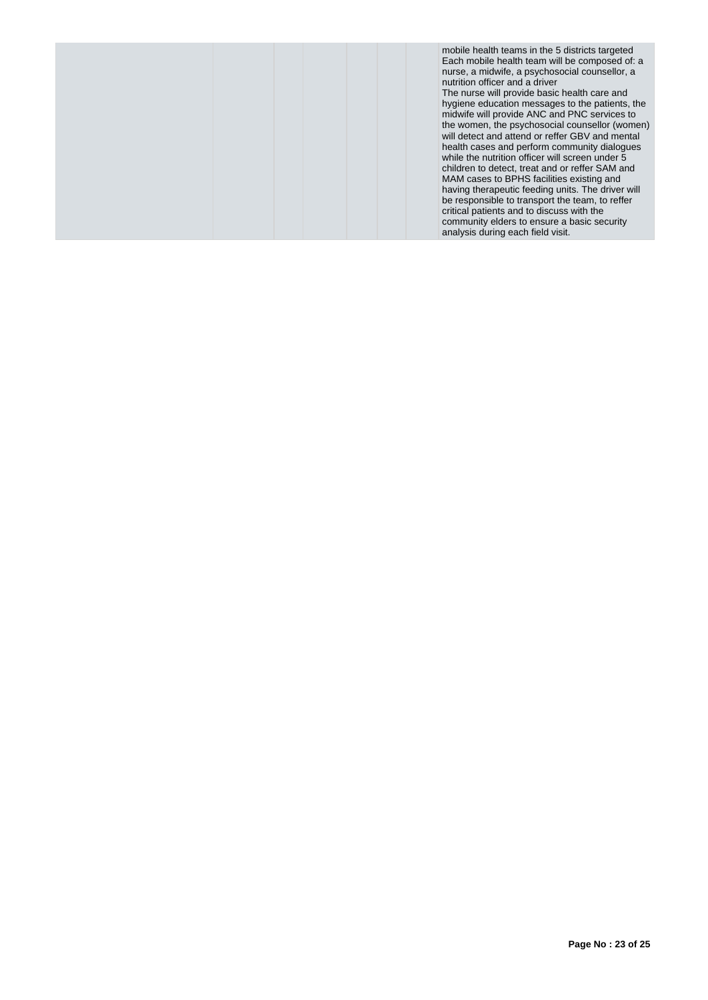|  | mobile health teams in the 5 districts targeted<br>Each mobile health team will be composed of: a<br>nurse, a midwife, a psychosocial counsellor, a<br>nutrition officer and a driver<br>The nurse will provide basic health care and<br>hygiene education messages to the patients, the<br>midwife will provide ANC and PNC services to<br>the women, the psychosocial counsellor (women)<br>will detect and attend or reffer GBV and mental<br>health cases and perform community dialogues<br>while the nutrition officer will screen under 5<br>children to detect, treat and or reffer SAM and<br>MAM cases to BPHS facilities existing and<br>having therapeutic feeding units. The driver will<br>be responsible to transport the team, to reffer<br>critical patients and to discuss with the<br>community elders to ensure a basic security<br>analysis during each field visit. |
|--|-------------------------------------------------------------------------------------------------------------------------------------------------------------------------------------------------------------------------------------------------------------------------------------------------------------------------------------------------------------------------------------------------------------------------------------------------------------------------------------------------------------------------------------------------------------------------------------------------------------------------------------------------------------------------------------------------------------------------------------------------------------------------------------------------------------------------------------------------------------------------------------------|
|--|-------------------------------------------------------------------------------------------------------------------------------------------------------------------------------------------------------------------------------------------------------------------------------------------------------------------------------------------------------------------------------------------------------------------------------------------------------------------------------------------------------------------------------------------------------------------------------------------------------------------------------------------------------------------------------------------------------------------------------------------------------------------------------------------------------------------------------------------------------------------------------------------|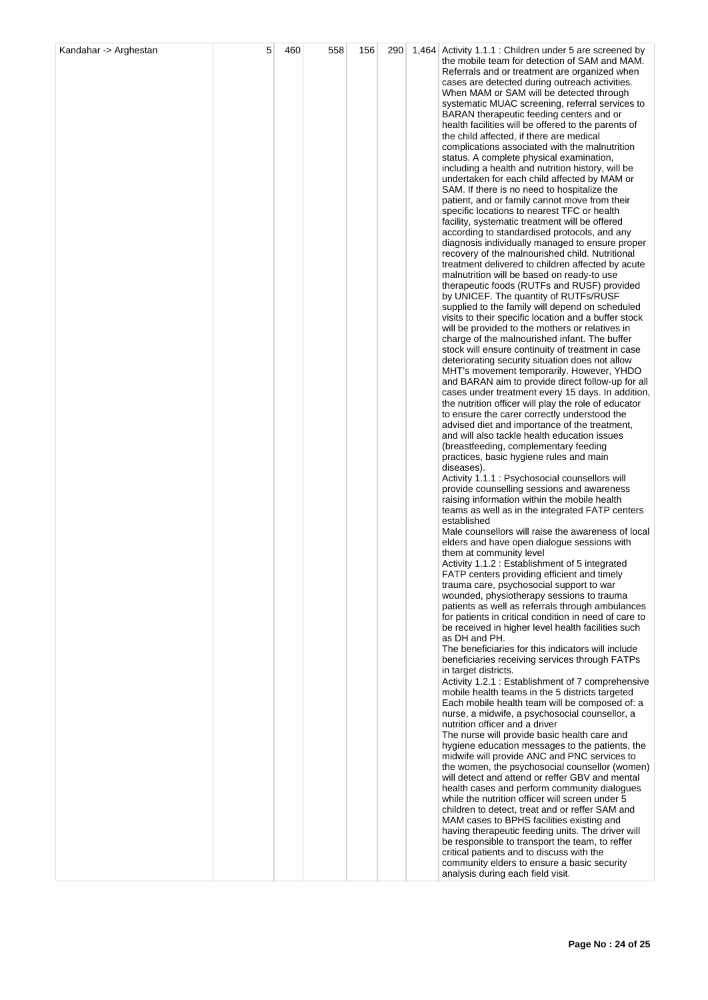| Kandahar -> Arghestan | 5 | 460 | 558 | 156 | 290 | 1,464 Activity 1.1.1 : Children under 5 are screened by                                                     |
|-----------------------|---|-----|-----|-----|-----|-------------------------------------------------------------------------------------------------------------|
|                       |   |     |     |     |     | the mobile team for detection of SAM and MAM.                                                               |
|                       |   |     |     |     |     | Referrals and or treatment are organized when                                                               |
|                       |   |     |     |     |     | cases are detected during outreach activities.<br>When MAM or SAM will be detected through                  |
|                       |   |     |     |     |     | systematic MUAC screening, referral services to                                                             |
|                       |   |     |     |     |     | BARAN therapeutic feeding centers and or                                                                    |
|                       |   |     |     |     |     | health facilities will be offered to the parents of                                                         |
|                       |   |     |     |     |     | the child affected, if there are medical                                                                    |
|                       |   |     |     |     |     | complications associated with the malnutrition                                                              |
|                       |   |     |     |     |     | status. A complete physical examination,                                                                    |
|                       |   |     |     |     |     | including a health and nutrition history, will be                                                           |
|                       |   |     |     |     |     | undertaken for each child affected by MAM or<br>SAM. If there is no need to hospitalize the                 |
|                       |   |     |     |     |     | patient, and or family cannot move from their                                                               |
|                       |   |     |     |     |     | specific locations to nearest TFC or health                                                                 |
|                       |   |     |     |     |     | facility, systematic treatment will be offered                                                              |
|                       |   |     |     |     |     | according to standardised protocols, and any                                                                |
|                       |   |     |     |     |     | diagnosis individually managed to ensure proper                                                             |
|                       |   |     |     |     |     | recovery of the malnourished child. Nutritional<br>treatment delivered to children affected by acute        |
|                       |   |     |     |     |     | malnutrition will be based on ready-to use                                                                  |
|                       |   |     |     |     |     | therapeutic foods (RUTFs and RUSF) provided                                                                 |
|                       |   |     |     |     |     | by UNICEF. The quantity of RUTFs/RUSF                                                                       |
|                       |   |     |     |     |     | supplied to the family will depend on scheduled                                                             |
|                       |   |     |     |     |     | visits to their specific location and a buffer stock                                                        |
|                       |   |     |     |     |     | will be provided to the mothers or relatives in                                                             |
|                       |   |     |     |     |     | charge of the malnourished infant. The buffer<br>stock will ensure continuity of treatment in case          |
|                       |   |     |     |     |     | deteriorating security situation does not allow                                                             |
|                       |   |     |     |     |     | MHT's movement temporarily. However, YHDO                                                                   |
|                       |   |     |     |     |     | and BARAN aim to provide direct follow-up for all                                                           |
|                       |   |     |     |     |     | cases under treatment every 15 days. In addition,                                                           |
|                       |   |     |     |     |     | the nutrition officer will play the role of educator                                                        |
|                       |   |     |     |     |     | to ensure the carer correctly understood the<br>advised diet and importance of the treatment,               |
|                       |   |     |     |     |     | and will also tackle health education issues                                                                |
|                       |   |     |     |     |     | (breastfeeding, complementary feeding                                                                       |
|                       |   |     |     |     |     | practices, basic hygiene rules and main                                                                     |
|                       |   |     |     |     |     | diseases).                                                                                                  |
|                       |   |     |     |     |     | Activity 1.1.1 : Psychosocial counsellors will<br>provide counselling sessions and awareness                |
|                       |   |     |     |     |     | raising information within the mobile health                                                                |
|                       |   |     |     |     |     | teams as well as in the integrated FATP centers                                                             |
|                       |   |     |     |     |     | established                                                                                                 |
|                       |   |     |     |     |     | Male counsellors will raise the awareness of local                                                          |
|                       |   |     |     |     |     | elders and have open dialogue sessions with                                                                 |
|                       |   |     |     |     |     | them at community level<br>Activity 1.1.2: Establishment of 5 integrated                                    |
|                       |   |     |     |     |     | FATP centers providing efficient and timely                                                                 |
|                       |   |     |     |     |     | trauma care, psychosocial support to war                                                                    |
|                       |   |     |     |     |     | wounded, physiotherapy sessions to trauma                                                                   |
|                       |   |     |     |     |     | patients as well as referrals through ambulances                                                            |
|                       |   |     |     |     |     | for patients in critical condition in need of care to<br>be received in higher level health facilities such |
|                       |   |     |     |     |     | as DH and PH.                                                                                               |
|                       |   |     |     |     |     | The beneficiaries for this indicators will include                                                          |
|                       |   |     |     |     |     | beneficiaries receiving services through FATPs                                                              |
|                       |   |     |     |     |     | in target districts.                                                                                        |
|                       |   |     |     |     |     | Activity 1.2.1: Establishment of 7 comprehensive<br>mobile health teams in the 5 districts targeted         |
|                       |   |     |     |     |     | Each mobile health team will be composed of: a                                                              |
|                       |   |     |     |     |     | nurse, a midwife, a psychosocial counsellor, a                                                              |
|                       |   |     |     |     |     | nutrition officer and a driver                                                                              |
|                       |   |     |     |     |     | The nurse will provide basic health care and                                                                |
|                       |   |     |     |     |     | hygiene education messages to the patients, the<br>midwife will provide ANC and PNC services to             |
|                       |   |     |     |     |     | the women, the psychosocial counsellor (women)                                                              |
|                       |   |     |     |     |     | will detect and attend or reffer GBV and mental                                                             |
|                       |   |     |     |     |     | health cases and perform community dialogues                                                                |
|                       |   |     |     |     |     | while the nutrition officer will screen under 5                                                             |
|                       |   |     |     |     |     | children to detect, treat and or reffer SAM and                                                             |
|                       |   |     |     |     |     | MAM cases to BPHS facilities existing and<br>having therapeutic feeding units. The driver will              |
|                       |   |     |     |     |     | be responsible to transport the team, to reffer                                                             |
|                       |   |     |     |     |     | critical patients and to discuss with the                                                                   |
|                       |   |     |     |     |     | community elders to ensure a basic security                                                                 |
|                       |   |     |     |     |     | analysis during each field visit.                                                                           |